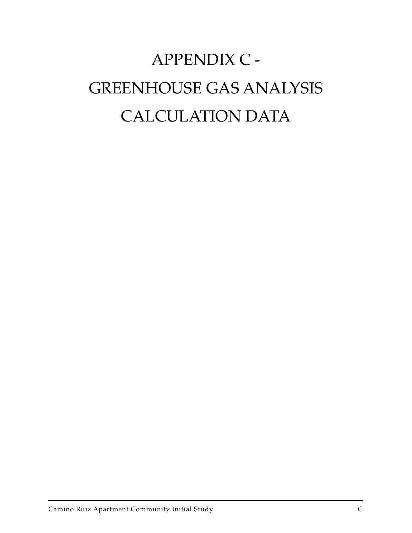# APPENDIX C - GREENHOUSE GAS ANALYSIS CALCULATION DATA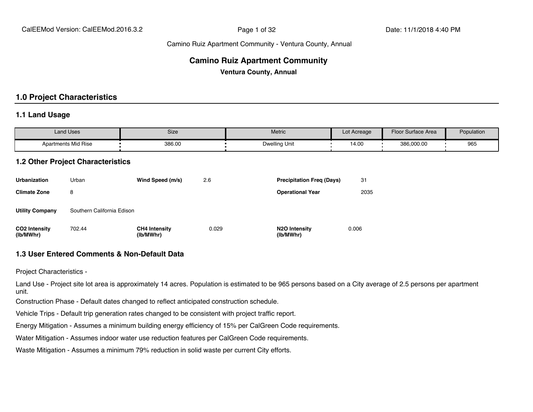#### **Camino Ruiz Apartment Community**

**Ventura County, Annual**

#### **1.0 Project Characteristics**

#### **1.1 Land Usage**

| <b>Land Uses</b>           | Size   | Metric        | Lot Acreage | Floor Surface Area | Population |
|----------------------------|--------|---------------|-------------|--------------------|------------|
| <b>Apartments Mid Rise</b> | 386.00 | Dwelling Unit | 14.00       | 386,000.00         | 965        |

#### **1.2 Other Project Characteristics**

| <b>Urbanization</b>               | Urban                      | Wind Speed (m/s)                  | 2.6   | <b>Precipitation Freg (Days)</b>        | 31    |
|-----------------------------------|----------------------------|-----------------------------------|-------|-----------------------------------------|-------|
| <b>Climate Zone</b>               | 8                          |                                   |       | <b>Operational Year</b>                 | 2035  |
| <b>Utility Company</b>            | Southern California Edison |                                   |       |                                         |       |
| <b>CO2</b> Intensity<br>(lb/MWhr) | 702.44                     | <b>CH4 Intensity</b><br>(lb/MWhr) | 0.029 | N <sub>2</sub> O Intensity<br>(lb/MWhr) | 0.006 |

#### **1.3 User Entered Comments & Non-Default Data**

Project Characteristics -

Land Use - Project site lot area is approximately 14 acres. Population is estimated to be 965 persons based on a City average of 2.5 persons per apartment unit.

Construction Phase - Default dates changed to reflect anticipated construction schedule.

Vehicle Trips - Default trip generation rates changed to be consistent with project traffic report.

Energy Mitigation - Assumes a minimum building energy efficiency of 15% per CalGreen Code requirements.

Water Mitigation - Assumes indoor water use reduction features per CalGreen Code requirements.

Waste Mitigation - Assumes a minimum 79% reduction in solid waste per current City efforts.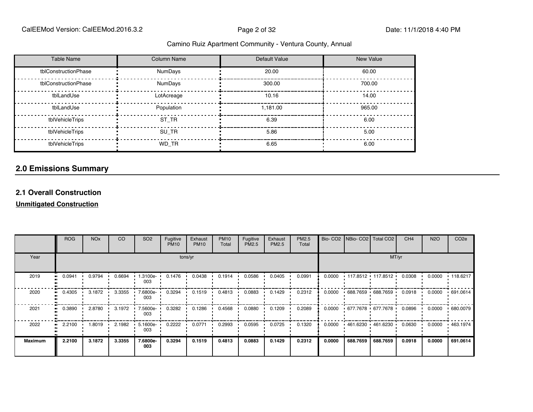| <b>Table Name</b>    | Column Name    | Default Value | <b>New Value</b> |
|----------------------|----------------|---------------|------------------|
| tblConstructionPhase | <b>NumDays</b> | 20.00         | 60.00            |
| tblConstructionPhase | <b>NumDays</b> | 300.00        | 700.00           |
| tblLandUse           | LotAcreage     | 10.16         | 14.00            |
| tblLandUse           | Population     | 1.181.00      | 965.00           |
| tblVehicleTrips      | ST TR          | 6.39          | 6.00             |
| tblVehicleTrips      | SU TR          | 5.86          | 5.00             |
| tblVehicleTrips      | WD TR          | 6.65          | 6.00             |

#### **2.0 Emissions Summary**

#### **2.1 Overall Construction**

**Unmitigated Construction**

|                   | <b>ROG</b> | <b>NO<sub>x</sub></b> | CO     | SO <sub>2</sub>   | Fugitive<br><b>PM10</b> | Exhaust<br><b>PM10</b> | <b>PM10</b><br>Total | Fugitive<br>PM2.5 | Exhaust<br>PM2.5 | PM2.5<br>Total |        | Bio- CO2   NBio- CO2   Total CO2 |          | CH <sub>4</sub> | <b>N2O</b> | CO <sub>2e</sub> |
|-------------------|------------|-----------------------|--------|-------------------|-------------------------|------------------------|----------------------|-------------------|------------------|----------------|--------|----------------------------------|----------|-----------------|------------|------------------|
| Year              |            |                       |        |                   |                         | tons/yr                |                      |                   |                  |                |        |                                  | MT/yr    |                 |            |                  |
| 2019              | 0.0941     | 0.9794                | 0.6694 | 1.3100e-<br>003   | 0.1476                  | 0.0438                 | 0.1914               | 0.0586            | 0.0405           | 0.0991         | 0.0000 | $+117.8512 + 117.8512$           |          | 0.0308          | 0.0000     | .118.6217        |
| 2020              | 0.4305     | 3.1872                | 3.3355 | 7.6800e-<br>003   | 0.3294                  | 0.1519                 | 0.4813               | 0.0883            | 0.1429           | 0.2312         | 0.0000 | 688.7659 688.7659                |          | 0.0918          | 0.0000     | .691.0614        |
| 2021<br>$\bullet$ | 0.3890     | 2.8780                | 3.1972 | 7.5600e-<br>003   | 0.3282                  | 0.1286                 | 0.4568               | 0.0880            | 0.1209           | 0.2089         | 0.0000 | • 677.7678 • 677.7678 •          |          | 0.0896          | 0.0000     | 680.0079         |
| 2022              | 2.2100     | 1.8019                | 2.1982 | 5.1600e- L<br>003 | 0.2222                  | 0.0771                 | 0.2993               | 0.0595            | 0.0725           | 0.1320         | 0.0000 | $+461.6230 + 461.6230$           |          | 0.0630          | 0.0000     | $+463.1974$      |
| <b>Maximum</b>    | 2.2100     | 3.1872                | 3.3355 | 7.6800e-<br>003   | 0.3294                  | 0.1519                 | 0.4813               | 0.0883            | 0.1429           | 0.2312         | 0.0000 | 688.7659                         | 688.7659 | 0.0918          | 0.0000     | 691.0614         |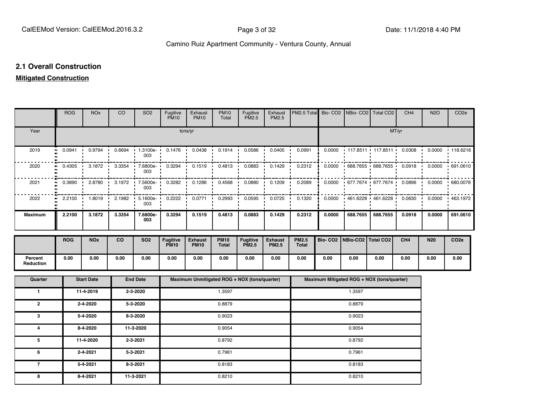#### **2.1 Overall Construction**

#### **Mitigated Construction**

|                             | <b>ROG</b> | <b>NO<sub>x</sub></b> | CO     | SO <sub>2</sub>      | Fugitive<br><b>PM10</b>        | Exhaust<br><b>PM10</b>        | <b>PM10</b><br>Total        | Fugitive<br>PM <sub>2.5</sub>                | Exhaust<br>PM2.5               | PM2.5 Total                  |        | Bio- CO2   NBio- CO2   Total CO2           |                   | CH <sub>4</sub>          | <b>N2O</b> | CO <sub>2e</sub> |
|-----------------------------|------------|-----------------------|--------|----------------------|--------------------------------|-------------------------------|-----------------------------|----------------------------------------------|--------------------------------|------------------------------|--------|--------------------------------------------|-------------------|--------------------------|------------|------------------|
| Year                        |            |                       |        |                      |                                | tons/yr                       |                             |                                              |                                |                              |        |                                            |                   | MT/yr                    |            |                  |
| 2019<br>.,                  | 0.0941     | 0.9794                | 0.6694 | 1.3100e-<br>003      | 0.1476                         | 0.0438                        | 0.1914                      | 0.0586                                       | 0.0405                         | 0.0991                       | 0.0000 |                                            | 117.8511 117.8511 | 0.0308<br>$\blacksquare$ | 0.0000     | 118.6216         |
| 2020                        | 0.4305     | 3.1872                | 3.3354 | 7.6800e-<br>003      | 0.3294                         | 0.1519                        | 0.4813                      | 0.0883                                       | 0.1429                         | 0.2312                       | 0.0000 |                                            | 688.7655 688.7655 | 0.0918                   | 0.0000     | 691.0610         |
| 2021                        | 0.3890     | 2.8780                | 3.1972 | 7.5600e-<br>003      | 0.3282                         | 0.1286                        | 0.4568                      | 0.0880                                       | 0.1209                         | 0.2089                       | 0.0000 | 677.7674                                   | 677.7674          | 0.0896                   | 0.0000     | 680.0076         |
| 2022<br>$\bullet$           | 2.2100     | 1.8019                | 2.1982 | 5.1600e-<br>-<br>003 | 0.2222                         | 0.0771                        | 0.2993                      | 0.0595                                       | 0.0725                         | 0.1320                       | 0.0000 | 461.6228 461.6228                          |                   | 0.0630                   | 0.0000     | 463.1972         |
| <b>Maximum</b>              | 2.2100     | 3.1872                | 3.3354 | 7.6800e-<br>003      | 0.3294                         | 0.1519                        | 0.4813                      | 0.0883                                       | 0.1429                         | 0.2312                       | 0.0000 | 688.7655                                   | 688.7655          | 0.0918                   | 0.0000     | 691.0610         |
|                             | <b>ROG</b> | <b>NOx</b>            | co     | <b>SO2</b>           | <b>Fugitive</b><br><b>PM10</b> | <b>Exhaust</b><br><b>PM10</b> | <b>PM10</b><br><b>Total</b> | <b>Fugitive</b><br><b>PM2.5</b>              | <b>Exhaust</b><br><b>PM2.5</b> | <b>PM2.5</b><br><b>Total</b> |        | Bio- CO2   NBio-CO2   Total CO2            |                   | CH <sub>4</sub>          | <b>N20</b> | CO <sub>2e</sub> |
| Percent<br><b>Reduction</b> | 0.00       | 0.00                  | 0.00   | 0.00                 | 0.00                           | 0.00                          | 0.00                        | 0.00                                         | 0.00                           | 0.00                         | 0.00   | 0.00                                       | 0.00              | 0.00                     | 0.00       | 0.00             |
| Quarter                     |            | <b>Start Date</b>     |        | <b>End Date</b>      |                                |                               |                             | Maximum Unmitigated ROG + NOX (tons/quarter) |                                |                              |        | Maximum Mitigated ROG + NOX (tons/quarter) |                   |                          |            |                  |
| $\mathbf{1}$                |            | 11-4-2019             |        | 2-3-2020             |                                |                               | 1.3597                      |                                              |                                |                              |        | 1.3597                                     |                   |                          |            |                  |
| $\mathbf{2}$                |            | 2-4-2020              |        | 5-3-2020             |                                |                               | 0.8879                      |                                              |                                |                              |        | 0.8879                                     |                   |                          |            |                  |
| 3                           |            | 5-4-2020              |        | 8-3-2020             |                                |                               | 0.9023                      |                                              |                                |                              |        | 0.9023                                     |                   |                          |            |                  |
| 4                           |            | 8-4-2020              |        | 11-3-2020            |                                |                               | 0.9054                      |                                              |                                |                              |        | 0.9054                                     |                   |                          |            |                  |
| 5                           |            | 11-4-2020             |        | 2-3-2021             |                                |                               | 0.8792                      |                                              |                                |                              |        | 0.8792                                     |                   |                          |            |                  |
| 6                           |            | 2-4-2021              |        | 5-3-2021             |                                |                               | 0.7961                      |                                              |                                |                              |        | 0.7961                                     |                   |                          |            |                  |
| $\overline{7}$              |            | 5-4-2021              |        | 8-3-2021             |                                |                               | 0.8183                      |                                              |                                |                              |        | 0.8183                                     |                   |                          |            |                  |
| 8                           |            | 8-4-2021              |        | 11-3-2021            |                                | 0.8210                        |                             |                                              |                                |                              | 0.8210 |                                            |                   |                          |            |                  |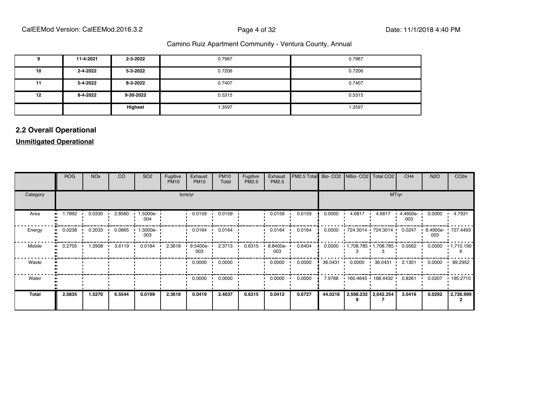|    | 11-4-2021 | 2-3-2022  | 0.7967 | 0.7967 |
|----|-----------|-----------|--------|--------|
| 10 | 2-4-2022  | 5-3-2022  | 0.7206 | 0.7206 |
| 11 | 5-4-2022  | 8-3-2022  | 0.7407 | 0.7407 |
| 12 | 8-4-2022  | 9-30-2022 | 0.5315 | 0.5315 |
|    |           | Highest   | 1.3597 | 1.3597 |

#### **2.2 Overall Operational**

#### **Unmitigated Operational**

|              | <b>ROG</b> | <b>NO<sub>x</sub></b> | <b>CO</b> | SO <sub>2</sub> | Fugitive<br><b>PM10</b> | Exhaust<br><b>PM10</b> | <b>PM10</b><br>Total | Fugitive<br>PM2.5 | Exhaust<br>PM2.5 | PM2.5 Total |         | Bio- CO2   NBio- CO2   Total CO2   |                                | CH <sub>4</sub> | <b>N2O</b> | CO <sub>2</sub> e |
|--------------|------------|-----------------------|-----------|-----------------|-------------------------|------------------------|----------------------|-------------------|------------------|-------------|---------|------------------------------------|--------------------------------|-----------------|------------|-------------------|
| Category     |            |                       |           |                 |                         | tons/yr                |                      |                   |                  |             |         |                                    | MT/yr                          |                 |            |                   |
| Area         | 1.7892     | 0.0330                | 2.8560    | 1.5000e-<br>004 |                         | 0.0159                 | 0.0159               |                   | 0.0159           | 0.0159      | 0.0000  | 4.6817                             | 4.6817                         | 4.4600e-<br>003 | 0.0000     | 4.7931            |
| Energy       | 0.0238     | 0.2033                | 0.0865    | 1.3000e-<br>003 |                         | 0.0164                 | 0.0164               |                   | 0.0164           | 0.0164      | 0.0000  |                                    | $.724.3014$ $.724.3014$ $.014$ | 0.0247          | 003        | 8.4900e- 727.4493 |
| Mobile<br>п. | 0.2705     | 1.2908                | 3.6119    | 0.0184          | 2.3618                  | 9.5400e-<br>003        | 2.3713               | 0.6315            | 8.8400e-<br>003  | 0.6404      | 0.0000  |                                    | $1,708.785$ $1,708.785$        | 0.0562          | 0.0000     | $\cdot$ 1,710.190 |
| Waste        |            |                       |           |                 |                         | 0.0000                 | 0.0000               |                   | 0.0000           | 0.0000      | 36.0431 | 0.0000<br>$\overline{\phantom{a}}$ | 36.0431                        | 2.1301          | 0.0000     | 89.2952           |
| Water        |            |                       |           |                 |                         | 0.0000<br>$\cdot$      | 0.0000               |                   | 0.0000           | 0.0000      | 7.9788  |                                    | $160.4645$ $168.4432$          | 0.8261          | 0.0207     | $+195.2710$       |
| Total        | 2.0835     | 1.5270                | 6.5544    | 0.0199          | 2.3618                  | 0.0419                 | 2.4037               | 0.6315            | 0.0412           | 0.6727      | 44.0218 |                                    | 2,598.232 2,642.254            | 3.0416          | 0.0292     | 2,726.999         |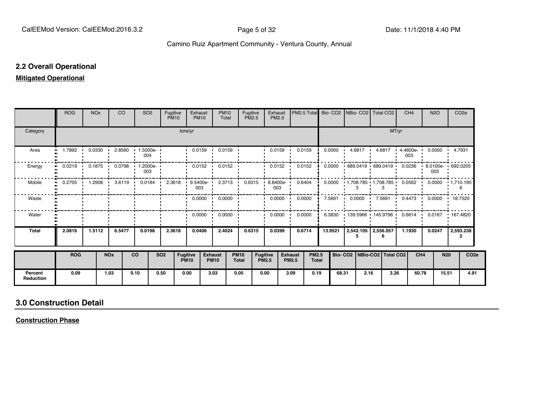#### **2.2 Overall Operational**

#### **Mitigated Operational**

|                             | <b>ROG</b>                 | <b>NO<sub>x</sub></b> |                       | CO.    |                        | SO <sub>2</sub> | Fugitive<br><b>PM10</b> |                                | Exhaust<br><b>PM10</b>              | <b>PM10</b><br>Total          | Fugitive<br><b>PM2.5</b>    |                                 | Exhaust<br>PM2.5 |                                | PM2.5 Total                  |         |       | Bio- CO2 NBio- CO2 Total CO2                             |        |       | CH <sub>4</sub> |                 | <b>N2O</b> | CO <sub>2e</sub>         |                  |
|-----------------------------|----------------------------|-----------------------|-----------------------|--------|------------------------|-----------------|-------------------------|--------------------------------|-------------------------------------|-------------------------------|-----------------------------|---------------------------------|------------------|--------------------------------|------------------------------|---------|-------|----------------------------------------------------------|--------|-------|-----------------|-----------------|------------|--------------------------|------------------|
| Category                    |                            |                       |                       |        |                        |                 |                         | tons/yr                        |                                     |                               |                             |                                 |                  |                                |                              |         |       |                                                          |        | MT/yr |                 |                 |            |                          |                  |
| Area                        | 1.7892<br>$\bullet$        |                       | 0.0330                |        | 2.8560 1.5000e-        | 004             |                         |                                | $0.0159$ $\cdot$                    | 0.0159                        |                             |                                 | 0.0159           |                                | 0.0159                       | 0.0000  |       | 4.6817 •                                                 | 4.6817 | . .   | 4.4600e-<br>003 |                 | 0.0000     | 4.7931                   |                  |
| Energy                      | 0.0219                     | 0.1875                |                       | 0.0798 | - 1                    | 1.2000e-<br>003 |                         |                                | 0.0152                              | 0.0152                        |                             |                                 | 0.0152           |                                | 0.0152                       | 0.0000  |       | 689.0419 689.0419                                        |        |       | 0.0236          | - 1             | 003        | 8.0100e- 692.0205        |                  |
| Mobile                      | 0.2705<br>$\bullet\bullet$ |                       |                       |        | $1.2908$ 3.6119 0.0184 |                 |                         |                                | 2.3618 9.5400e 2.3713 0.6315<br>003 |                               |                             |                                 | 8.8400e-<br>003  |                                | 0.6404                       | 0.0000  |       | $1,708.785$ $1,708.785$ $0.0562$ $0.0000$ $1,710.190$    |        |       |                 |                 |            | 6                        |                  |
| Waste                       |                            |                       |                       |        |                        |                 |                         |                                |                                     | $0.0000 \cdot 0.0000$         |                             |                                 | 0.0000           |                                | 0.0000                       | 7.5691  |       | $0.0000$ $-7.5691$                                       |        |       | 0.4473 ·        |                 |            | $0.0000$ $\cdot$ 18.7520 |                  |
| Water                       |                            |                       |                       |        |                        |                 |                         |                                | 0.0000                              | 0.0000<br>$\cdot$             |                             |                                 | 0.0000           |                                | 0.0000                       | 6.3830  |       | $\cdot$ 139.5966 $\cdot$ 145.9796 $\cdot$ 0.6614 $\cdot$ |        |       |                 |                 |            | 0.0167 167.4820          |                  |
| <b>Total</b>                | 2.0816                     | 1.5112                |                       | 6.5477 |                        | 0.0198          | 2.3618                  |                                | 0.0406                              | 2.4024                        | 0.6315                      |                                 | 0.0399           |                                | 0.6714                       | 13.9521 |       | 2,542.105   2,556.057                                    | 6      |       | 1.1930          |                 | 0.0247     | 2,593.238<br>2           |                  |
|                             | <b>ROG</b>                 |                       | <b>NO<sub>x</sub></b> |        | <b>CO</b>              |                 | <b>SO2</b>              | <b>Fugitive</b><br><b>PM10</b> |                                     | <b>Exhaust</b><br><b>PM10</b> | <b>PM10</b><br><b>Total</b> | <b>Fugitive</b><br><b>PM2.5</b> |                  | <b>Exhaust</b><br><b>PM2.5</b> | <b>PM2.5</b><br><b>Total</b> |         |       | Bio- CO2   NBio-CO2   Total CO2                          |        |       |                 | CH <sub>4</sub> | <b>N20</b> |                          | CO <sub>2e</sub> |
| Percent<br><b>Reduction</b> | 0.09                       |                       | 1.03                  |        | 0.10                   | 0.50            |                         | 0.00                           |                                     | 3.03                          | 0.05                        | 0.00                            |                  | 3.09                           | 0.19                         |         | 68.31 | 2.16                                                     |        | 3.26  |                 | 60.78           | 15.51      |                          | 4.91             |

#### **3.0 Construction Detail**

**Construction Phase**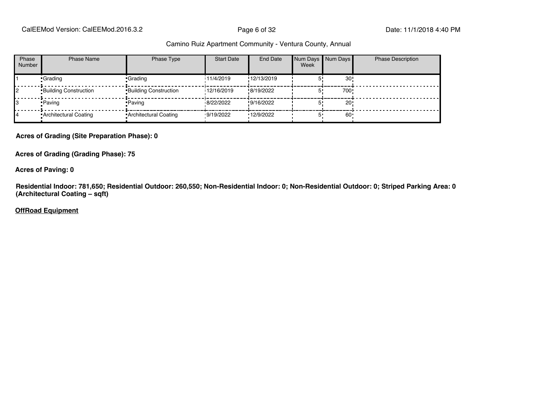CalEEMod Version: CalEEMod.2016.3.2 **Page 6 of 32** Page 6 of 32 Date: 11/1/2018 4:40 PM

#### Camino Ruiz Apartment Community - Ventura County, Annual

| Phase<br>Number | <b>Phase Name</b>            | Phase Type                   | <b>Start Date</b> | <b>End Date</b> | Num Days Num Days<br>Week |      | <b>Phase Description</b> |
|-----------------|------------------------------|------------------------------|-------------------|-----------------|---------------------------|------|--------------------------|
|                 | •Grading                     | Grading                      | 11/4/2019         | !12/13/2019     |                           | 30   |                          |
|                 | <b>Building Construction</b> | <b>Building Construction</b> | 12/16/2019        | !8/19/2022      |                           | 700! |                          |
|                 | • Paving                     | • Paving                     | 8/22/2022         | !9/16/2022      |                           | 20!  |                          |
|                 | • Architectural Coating      | • Architectural Coating      | 9/19/2022         | '12/9/2022      |                           | 60   |                          |

**Acres of Grading (Site Preparation Phase): 0**

**Acres of Grading (Grading Phase): 75**

**Acres of Paving: 0**

**Residential Indoor: 781,650; Residential Outdoor: 260,550; Non-Residential Indoor: 0; Non-Residential Outdoor: 0; Striped Parking Area: 0 (Architectural Coating – sqft)**

**OffRoad Equipment**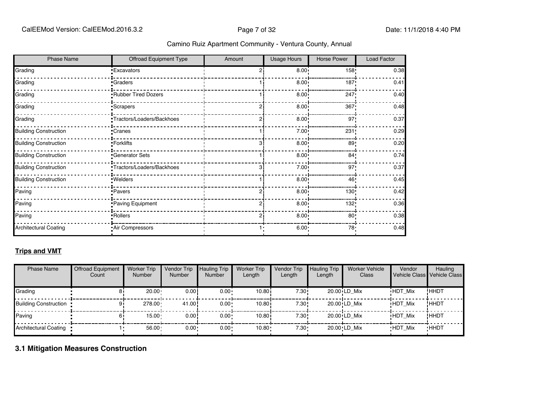| <b>Phase Name</b>            | <b>Offroad Equipment Type</b> | Amount | <b>Usage Hours</b> | Horse Power     | Load Factor |
|------------------------------|-------------------------------|--------|--------------------|-----------------|-------------|
| Grading                      | <b>Excavators</b>             |        | $8.00 -$           | 158!            | 0.38        |
| Grading                      | <b>Graders</b>                |        | 8.00 <sub>1</sub>  | 187!            | 0.41        |
| Grading                      | Rubber Tired Dozers           |        | 8.00 <sub>1</sub>  | 247!            | 0.40        |
| Grading                      | Scrapers                      |        | 8.00 <sub>1</sub>  | 367             | 0.48        |
| Grading                      | Tractors/Loaders/Backhoes     |        | $8.00 -$           | 97              | 0.37        |
| <b>Building Construction</b> | Cranes <sup>-</sup>           |        | $7.00 +$           | 231             | 0.29        |
| <b>Building Construction</b> | -Forklifts                    | я      | 8.00               | 89              | 0.20        |
| <b>Building Construction</b> | <b>Generator Sets</b>         |        | 8.00 <sub>1</sub>  | 84 <sub>1</sub> | 0.74        |
| <b>Building Construction</b> | Tractors/Loaders/Backhoes     | 3      | 7.00 <sub>1</sub>  | 97'             | 0.37        |
| <b>Building Construction</b> | : Welders                     |        | $8.00 -$           | 46'             | 0.45        |
| Paving                       | ·Pavers                       |        | $8.00$ !           | 130!            | 0.42        |
| Paving                       | Paving Equipment              |        | $8.00 -$           | 132!            | 0.36        |
| Paving                       | Rollers <sup>-</sup>          | っ      | $8.00 -$           | $80$ !          | 0.38        |
| <b>Architectural Coating</b> | Air Compressors               | 1.     | $6.00 -$           | 78!             | 0.48        |

#### **Trips and VMT**

| <b>Phase Name</b>              | <b>Offroad Equipment</b><br>Count | <b>Worker Trip</b><br><b>Number</b> | Vendor Trip<br><b>Number</b> | <b>Hauling Trip</b><br><b>Number</b> | <b>Worker Trip</b><br>Length | Vendor Trip<br>Length | <b>Hauling Trip</b><br>Length | <b>Worker Vehicle</b><br>Class | Vendor         | Hauling<br>Vehicle Class Vehicle Class |
|--------------------------------|-----------------------------------|-------------------------------------|------------------------------|--------------------------------------|------------------------------|-----------------------|-------------------------------|--------------------------------|----------------|----------------------------------------|
| Grading                        | 81                                | 20.00 <sub>1</sub>                  | 0.00!                        | $0.00 \cdot$                         | 10.80i                       | 7.30!                 |                               | $20.00$ <sup>i</sup> LD Mix    | <b>HDT Mix</b> | !HHDT                                  |
| <b>Building Construction •</b> |                                   | $278.00 \cdot$                      | 41.00                        | $0.00 \cdot$                         | 10.80i                       | 7.30!                 |                               | $20.00$ <sup>i</sup> LD Mix    | <b>HDT Mix</b> | !HHDT                                  |
| Paving                         |                                   | $15.00 -$                           | 0.00!                        | $0.00 \cdot$                         | 10.80i                       | 7.30!                 |                               | 20.00 LD Mix                   | <b>HDT Mix</b> | !HHDT                                  |
| Architectural Coating •        |                                   | $56.00 -$                           | $0.00 -$                     | $0.00 \cdot$                         | $10.80 -$                    | 7.30 ·                |                               | 20.00 LD Mix                   | <b>HDT Mix</b> | <b>HHDT</b>                            |

#### **3.1 Mitigation Measures Construction**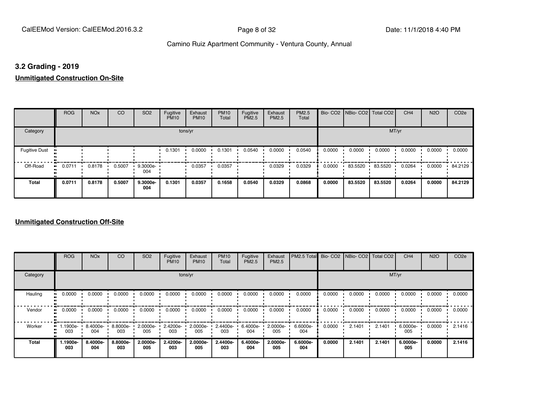#### **3.2 Grading - 2019**

**Unmitigated Construction On-Site**

|                      | <b>ROG</b>          | <b>NO<sub>x</sub></b> | CO     | SO <sub>2</sub> | Fugitive<br><b>PM10</b> | Exhaust<br><b>PM10</b> | <b>PM10</b><br>Total | Fugitive<br>PM2.5 | Exhaust<br>PM2.5 | PM2.5<br>Total |        | Bio- CO2   NBio- CO2   Total CO2 |         | CH <sub>4</sub> | <b>N2O</b> | CO <sub>2e</sub> |
|----------------------|---------------------|-----------------------|--------|-----------------|-------------------------|------------------------|----------------------|-------------------|------------------|----------------|--------|----------------------------------|---------|-----------------|------------|------------------|
| Category             |                     |                       |        |                 | tons/yr                 |                        |                      |                   |                  |                |        |                                  | MT/yr   |                 |            |                  |
| <b>Fugitive Dust</b> |                     |                       |        |                 | 0.1301                  | 0.0000                 | 0.1301               | 0.0540            | 0.0000           | 0.0540         | 0.0000 | 0.0000                           | 0.0000  | 0.0000          | 0.0000     | 0.0000           |
| Off-Road             | 0.0711<br>$\bullet$ | 0.8178                | 0.5007 | 9.3000e-<br>004 |                         | 0.0357                 | 0.0357               |                   | 0.0329           | 0.0329         | 0.0000 | 83.5520 ·                        | 83.5520 | 0.0264          | 0.0000     | 84.2129          |
| Total                | 0.0711              | 0.8178                | 0.5007 | 9.3000e-<br>004 | 0.1301                  | 0.0357                 | 0.1658               | 0.0540            | 0.0329           | 0.0868         | 0.0000 | 83.5520                          | 83.5520 | 0.0264          | 0.0000     | 84.2129          |

|          | <b>ROG</b>      | <b>NO<sub>x</sub></b> | CO              | SO <sub>2</sub>   | Fugitive<br><b>PM10</b> | Exhaust<br><b>PM10</b> | <b>PM10</b><br>Total | Fugitive<br><b>PM2.5</b> | Exhaust<br>PM2.5 | PM2.5 Total Bio- CO2 NBio- CO2 Total CO2 |        |        |        | CH <sub>4</sub> | <b>N2O</b> | CO <sub>2e</sub> |
|----------|-----------------|-----------------------|-----------------|-------------------|-------------------------|------------------------|----------------------|--------------------------|------------------|------------------------------------------|--------|--------|--------|-----------------|------------|------------------|
| Category |                 |                       |                 |                   |                         | tons/yr                |                      |                          |                  |                                          |        |        |        | MT/yr           |            |                  |
| Hauling  | 0.0000          | 0.0000                | 0.0000          | 0.0000            | 0.0000                  | 0.0000                 | 0.0000               | 0.0000                   | 0.0000           | 0.0000                                   | 0.0000 | 0.0000 | 0.0000 | 0.0000          | 0.0000     | 0.0000           |
| Vendor   | 0.0000          | 0.0000                | 0.0000          | 0.0000            | 0.0000                  | 0.0000                 | 0.0000               | 0.0000                   | 0.0000           | 0.0000                                   | 0.0000 | 0.0000 | 0.0000 | 0.0000          | 0.0000     | 0.0000           |
| Worker   | .1900e-<br>003  | 8.4000e-<br>004       | 8.8000e-<br>003 | $2.0000e-$<br>005 | 2.4200e-<br>003         | 2.0000e-<br>005        | 2.4400e-<br>003      | 6.4000e-<br>004          | 2.0000e-<br>005  | 6.6000e-<br>004                          | 0.0000 | 2.1401 | 2.1401 | 6.0000e-<br>005 | 0.0000     | 2.1416           |
| Total    | 1.1900e-<br>003 | 8.4000e-<br>004       | 8.8000e-<br>003 | 2.0000e-<br>005   | 2.4200e-<br>003         | 2.0000e-<br>005        | 2.4400e-<br>003      | 6.4000e-<br>004          | 2.0000e-<br>005  | 6.6000e-<br>004                          | 0.0000 | 2.1401 | 2.1401 | 6.0000e-<br>005 | 0.0000     | 2.1416           |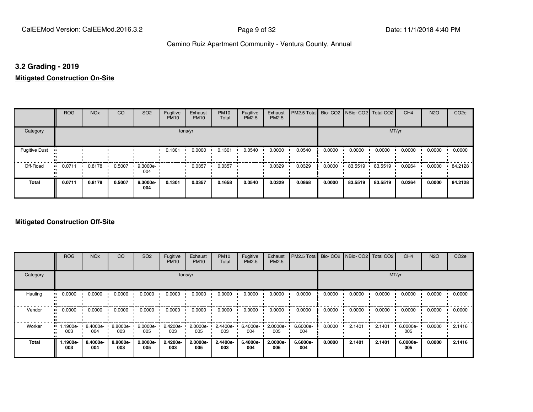#### **3.2 Grading - 2019**

**Mitigated Construction On-Site**

|                      | <b>ROG</b>                 | <b>NO<sub>x</sub></b> | CO     | SO <sub>2</sub> | Fugitive<br><b>PM10</b> | Exhaust<br><b>PM10</b> | <b>PM10</b><br>Total | Fugitive<br>PM2.5 | Exhaust<br>PM2.5 | PM2.5 Total Bio- CO2 NBio- CO2 Total CO2 |        |           |         | CH <sub>4</sub> | <b>N2O</b> | CO <sub>2e</sub> |
|----------------------|----------------------------|-----------------------|--------|-----------------|-------------------------|------------------------|----------------------|-------------------|------------------|------------------------------------------|--------|-----------|---------|-----------------|------------|------------------|
| Category             |                            |                       |        |                 |                         | tons/yr                |                      |                   |                  |                                          |        |           | MT/yr   |                 |            |                  |
| <b>Fugitive Dust</b> |                            |                       |        |                 | 0.1301                  | 0.0000                 | 0.1301               | 0.0540            | 0.0000           | 0.0540                                   | 0.0000 | 0.0000    | 0.0000  | 0.0000          | 0.0000     | 0.0000           |
| Off-Road             | 0.0711<br>$\bullet\bullet$ | 0.8178                | 0.5007 | 9.3000e-<br>004 |                         | 0.0357                 | 0.0357               |                   | 0.0329           | 0.0329                                   | 0.0000 | 83.5519 · | 83.5519 | 0.0264          | 0.0000     | 84.2128          |
| Total                | 0.0711                     | 0.8178                | 0.5007 | 9.3000e-<br>004 | 0.1301                  | 0.0357                 | 0.1658               | 0.0540            | 0.0329           | 0.0868                                   | 0.0000 | 83.5519   | 83.5519 | 0.0264          | 0.0000     | 84.2128          |

|                     | <b>ROG</b>      | <b>NO<sub>x</sub></b> | CO              | SO <sub>2</sub> | Fugitive<br><b>PM10</b> | Exhaust<br><b>PM10</b> | <b>PM10</b><br>Total | Fugitive<br><b>PM2.5</b> | Exhaust<br>PM2.5 | PM2.5 Total Bio- CO2 NBio- CO2 Total CO2 |        |        |        | CH <sub>4</sub> | <b>N2O</b> | CO <sub>2e</sub> |
|---------------------|-----------------|-----------------------|-----------------|-----------------|-------------------------|------------------------|----------------------|--------------------------|------------------|------------------------------------------|--------|--------|--------|-----------------|------------|------------------|
| Category            |                 |                       |                 |                 | tons/yr                 |                        |                      |                          |                  |                                          |        |        | MT/yr  |                 |            |                  |
| Hauling<br>œ        | 0.0000          | 0.0000                | 0.0000          | 0.0000          | 0.0000                  | 0.0000                 | 0.0000               | 0.0000                   | 0.0000           | 0.0000                                   | 0.0000 | 0.0000 | 0.0000 | 0.0000          | 0.0000     | 0.0000           |
| Vendor<br>$\bullet$ | 0.0000          | 0.0000                | 0.0000          | 0.0000          | 0.0000                  | 0.0000                 | 0.0000               | 0.0000                   | 0.0000           | 0.0000                                   | 0.0000 | 0.0000 | 0.0000 | 0.0000          | 0.0000     | 0.0000           |
| Worker<br>$\bullet$ | -.1900e<br>003  | 8.4000e-<br>004       | 8.8000e-<br>003 | 2.0000e-<br>005 | 2.4200e-<br>003         | 2.0000e-<br>005        | 2.4400e-<br>003      | 6.4000e-<br>004          | 2.0000e-<br>005  | 6.6000e-<br>004                          | 0.0000 | 2.1401 | 2.1401 | 6.0000e-<br>005 | 0.0000     | 2.1416           |
| <b>Total</b>        | 1.1900e-<br>003 | 8.4000e-<br>004       | 8.8000e-<br>003 | 2.0000e-<br>005 | 2.4200e-<br>003         | 2.0000e-<br>005        | 2.4400e-<br>003      | 6.4000e-<br>004          | 2.0000e-<br>005  | 6.6000e-<br>004                          | 0.0000 | 2.1401 | 2.1401 | 6.0000e-<br>005 | 0.0000     | 2.1416           |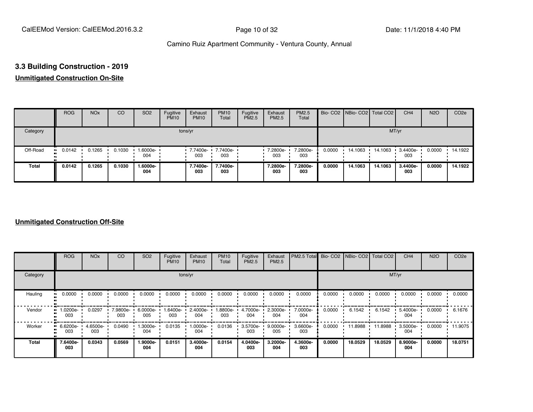## **3.3 Building Construction - 2019**

#### **Unmitigated Construction On-Site**

|          | <b>ROG</b> | <b>NO<sub>x</sub></b> | CO     | SO <sub>2</sub> | Fugitive<br><b>PM10</b> | Exhaust<br><b>PM10</b>   | <b>PM10</b><br>Total | Fugitive<br><b>PM2.5</b> | Exhaust<br>PM2.5 | <b>PM2.5</b><br>Total |        | Bio- CO2   NBio- CO2   Total CO2 |         | CH <sub>4</sub> | <b>N2O</b> | CO <sub>2e</sub> |
|----------|------------|-----------------------|--------|-----------------|-------------------------|--------------------------|----------------------|--------------------------|------------------|-----------------------|--------|----------------------------------|---------|-----------------|------------|------------------|
| Category |            |                       |        |                 |                         | tons/yr                  |                      |                          |                  |                       |        |                                  | MT/yr   |                 |            |                  |
| Off-Road | 0.0142     | 0.1265                | 0.1030 | 1.6000e-<br>004 |                         | 7.7400e- <b>+</b><br>003 | 7.7400e-<br>003      |                          | 7.2800e-<br>003  | 7.2800e-<br>003       | 0.0000 | 14.1063                          | 14.1063 | 3.4400e-<br>003 | 0.0000     | $-14.1922$       |
| Total    | 0.0142     | 0.1265                | 0.1030 | 1.6000e-<br>004 |                         | 7.7400e-<br>003          | 7.7400e-<br>003      |                          | 7.2800e-<br>003  | 7.2800e-<br>003       | 0.0000 | 14.1063                          | 14.1063 | 3.4400e-<br>003 | 0.0000     | 14.1922          |

|          | <b>ROG</b>      | <b>NO<sub>x</sub></b> | CO              | SO <sub>2</sub> | Fugitive<br><b>PM10</b> | Exhaust<br><b>PM10</b> | <b>PM10</b><br>Total | Fugitive<br><b>PM2.5</b> | Exhaust<br>PM2.5 | PM2.5 Total Bio- CO2 NBio- CO2 Total CO2 |        |         |         | CH <sub>4</sub> | <b>N2O</b> | CO <sub>2e</sub> |
|----------|-----------------|-----------------------|-----------------|-----------------|-------------------------|------------------------|----------------------|--------------------------|------------------|------------------------------------------|--------|---------|---------|-----------------|------------|------------------|
| Category |                 |                       |                 |                 |                         | tons/yr                |                      |                          |                  |                                          |        |         |         | MT/yr           |            |                  |
| Hauling  | 0.0000          | 0.0000                | 0.0000          | 0.0000          | 0.0000                  | 0.0000                 | 0.0000               | 0.0000                   | 0.0000           | 0.0000                                   | 0.0000 | 0.0000  | 0.0000  | 0.0000          | 0.0000     | 0.0000           |
| Vendor   | 1.0200e-<br>003 | 0.0297                | 7.9800e-<br>003 | 6.0000e-<br>005 | -6400e-<br>003          | 2.4000e-<br>004        | 1.8800e-<br>003      | 4.7000e-<br>004          | 2.3000e-<br>004  | 7.0000e-<br>004                          | 0.0000 | 6.1542  | 6.1542  | 5.4000e-<br>004 | 0.0000     | 6.1676           |
| Worker   | 6.6200e-<br>003 | 4.6500e-<br>003       | 0.0490          | 1.3000e-<br>004 | 0.0135                  | 1.0000e-<br>004        | 0.0136               | 3.5700e-<br>003          | 9.0000e-<br>005  | 3.6600e-<br>003                          | 0.0000 | 11.8988 | 11.8988 | 3.5000e-<br>004 | 0.0000     | 11.9075          |
| Total    | 7.6400e-<br>003 | 0.0343                | 0.0569          | 1.9000e-<br>004 | 0.0151                  | 3.4000e-<br>004        | 0.0154               | 4.0400e-<br>003          | 3.2000e-<br>004  | 4.3600e-<br>003                          | 0.0000 | 18.0529 | 18.0529 | 8.9000e-<br>004 | 0.0000     | 18.0751          |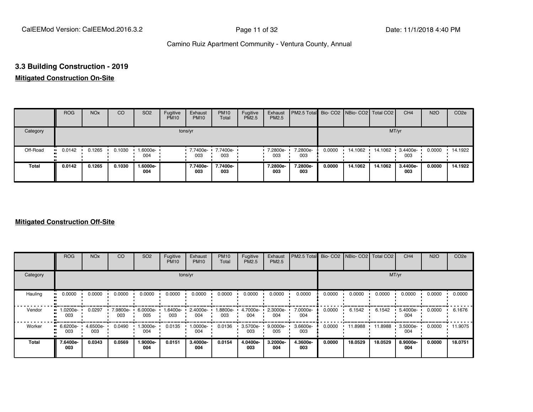#### **3.3 Building Construction - 2019**

#### **Mitigated Construction On-Site**

|          | <b>ROG</b> | <b>NO<sub>x</sub></b> | CO     | SO <sub>2</sub> | Fugitive<br><b>PM10</b> | Exhaust<br><b>PM10</b>   | <b>PM10</b><br>Total | Fugitive<br>PM2.5 | Exhaust<br>PM2.5 | PM2.5 Total Bio- CO2 NBio- CO2 Total CO2 |        |         |         | CH <sub>4</sub>   | <b>N2O</b> | CO <sub>2e</sub> |
|----------|------------|-----------------------|--------|-----------------|-------------------------|--------------------------|----------------------|-------------------|------------------|------------------------------------------|--------|---------|---------|-------------------|------------|------------------|
| Category |            |                       |        |                 |                         | tons/yr                  |                      |                   |                  |                                          |        |         | MT/yr   |                   |            |                  |
| Off-Road | 0.0142     | 0.1265                | 0.1030 | 1.6000e-<br>004 |                         | 7.7400e- 7.7400e-<br>003 | 003                  |                   | 7.2800e-<br>003  | 7.2800e-<br>003                          | 0.0000 | 14.1062 | 14.1062 | $.34400e-$<br>003 | 0.0000     | $-14.1922$       |
| Total    | 0.0142     | 0.1265                | 0.1030 | 1.6000e-<br>004 |                         | 7.7400e-<br>003          | 7.7400e-<br>003      |                   | 7.2800e-<br>003  | 7.2800e-<br>003                          | 0.0000 | 14.1062 | 14.1062 | 3.4400e-<br>003   | 0.0000     | 14.1922          |

|              | <b>ROG</b>      | <b>NO<sub>x</sub></b> | CO              | SO <sub>2</sub> | Fugitive<br><b>PM10</b> | Exhaust<br><b>PM10</b> | <b>PM10</b><br>Total | Fugitive<br><b>PM2.5</b> | Exhaust<br>PM2.5 | PM2.5 Total Bio- CO2 NBio- CO2 Total CO2 |        |         |         | CH <sub>4</sub> | <b>N2O</b> | CO <sub>2e</sub> |
|--------------|-----------------|-----------------------|-----------------|-----------------|-------------------------|------------------------|----------------------|--------------------------|------------------|------------------------------------------|--------|---------|---------|-----------------|------------|------------------|
| Category     |                 |                       |                 |                 |                         | tons/yr                |                      |                          |                  |                                          |        |         | MT/yr   |                 |            |                  |
| Hauling      | 0.0000          | 0.0000                | 0.0000          | 0.0000          | 0.0000                  | 0.0000                 | 0.0000               | 0.0000                   | 0.0000           | 0.0000                                   | 0.0000 | 0.0000  | 0.0000  | 0.0000          | 0.0000     | 0.0000           |
| Vendor       | 1.0200e-<br>003 | 0.0297                | 7.9800e-<br>003 | 6.0000e-<br>005 | -6400e-<br>003          | 2.4000e-<br>004        | 1.8800e-<br>003      | 4.7000e-<br>004          | 2.3000e-<br>004  | 7.0000e-<br>004                          | 0.0000 | 6.1542  | 6.1542  | 5.4000e-<br>004 | 0.0000     | 6.1676           |
| Worker       | 6.6200e-<br>003 | 4.6500e-<br>003       | 0.0490          | 1.3000e-<br>004 | 0.0135                  | 1.0000e-<br>004        | 0.0136               | 3.5700e-<br>003          | 9.0000e-<br>005  | 3.6600e-<br>003                          | 0.0000 | 11.8988 | 11.8988 | 3.5000e-<br>004 | 0.0000     | 11.9075          |
| <b>Total</b> | 7.6400e-<br>003 | 0.0343                | 0.0569          | 1.9000e-<br>004 | 0.0151                  | 3.4000e-<br>004        | 0.0154               | 4.0400e-<br>003          | 3.2000e-<br>004  | 4.3600e-<br>003                          | 0.0000 | 18.0529 | 18.0529 | 8.9000e-<br>004 | 0.0000     | 18.0751          |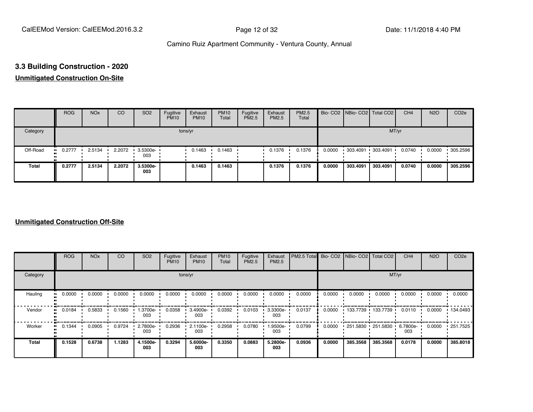# **3.3 Building Construction - 2020**

#### **Unmitigated Construction On-Site**

|          | <b>ROG</b> | <b>NO<sub>x</sub></b> | <b>CO</b> | SO <sub>2</sub>    | Fugitive<br><b>PM10</b> | Exhaust<br><b>PM10</b> | <b>PM10</b><br>Total | Fugitive<br><b>PM2.5</b> | Exhaust<br>PM2.5 | <b>PM2.5</b><br>Total |        | Bio- CO2 NBio- CO2 Total CO2 |          | CH <sub>4</sub> | <b>N2O</b> | CO <sub>2e</sub> |
|----------|------------|-----------------------|-----------|--------------------|-------------------------|------------------------|----------------------|--------------------------|------------------|-----------------------|--------|------------------------------|----------|-----------------|------------|------------------|
| Category |            |                       |           |                    |                         | tons/yr                |                      |                          |                  |                       |        |                              | MT/yr    |                 |            |                  |
| Off-Road | 0.2777     | 2.5134                | 2.2072    | $-3.5300e-$<br>003 |                         | 0.1463                 | 0.1463               |                          | 0.1376           | 0.1376                | 0.0000 | 303.4091 303.4091            |          | 0.0740          | 0.0000     | .305.2596        |
| Total    | 0.2777     | 2.5134                | 2.2072    | 3.5300e-<br>003    |                         | 0.1463                 | 0.1463               |                          | 0.1376           | 0.1376                | 0.0000 | 303.4091                     | 303.4091 | 0.0740          | 0.0000     | 305.2596         |

|                           | <b>ROG</b> | <b>NO<sub>x</sub></b> | CO     | SO <sub>2</sub> | Fugitive<br><b>PM10</b> | Exhaust<br><b>PM10</b> | <b>PM10</b><br>Total | Fugitive<br><b>PM2.5</b> | Exhaust<br>PM2.5 | PM2.5 Total | Bio-CO <sub>2</sub> | NBio- CO2   Total CO2 |          | CH <sub>4</sub> | <b>N2O</b> | CO <sub>2e</sub> |
|---------------------------|------------|-----------------------|--------|-----------------|-------------------------|------------------------|----------------------|--------------------------|------------------|-------------|---------------------|-----------------------|----------|-----------------|------------|------------------|
| Category                  |            |                       |        |                 |                         | tons/yr                |                      |                          |                  |             |                     |                       | MT/yr    |                 |            |                  |
| Hauling<br>$\blacksquare$ | 0.0000     | 0.0000                | 0.0000 | 0.0000          | 0.0000                  | 0.0000                 | 0.0000               | 0.0000                   | 0.0000           | 0.0000      | 0.0000              | 0.0000                | 0.0000   | 0.0000          | 0.0000     | 0.0000           |
| Vendor<br>$\bullet$       | 0.0184     | 0.5833                | 0.1560 | 1.3700e-<br>003 | 0.0358                  | 3.4900e-<br>003        | 0.0392               | 0.0103                   | 3.3300e-<br>003  | 0.0137      | 0.0000              | $133.7739$ 133.7739 1 |          | 0.0110          | 0.0000     | $+134.0493$      |
| Worker<br>$\bullet$       | 0.1344     | 0.0905                | 0.9724 | 2.7800e-<br>003 | 0.2936                  | 2.1100e-<br>003        | 0.2958               | 0.0780                   | .9500e-<br>003   | 0.0799      | 0.0000              | 251.5830 251.5830     |          | 6.7800e-<br>003 | 0.0000     | $+251.7525$      |
| <b>Total</b>              | 0.1528     | 0.6738                | 1.1283 | 4.1500e-<br>003 | 0.3294                  | 5.6000e-<br>003        | 0.3350               | 0.0883                   | 5.2800e-<br>003  | 0.0936      | 0.0000              | 385.3568              | 385.3568 | 0.0178          | 0.0000     | 385,8018         |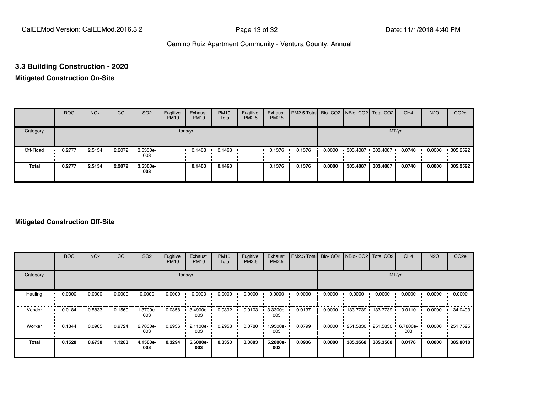#### **3.3 Building Construction - 2020**

#### **Mitigated Construction On-Site**

|              | <b>ROG</b> | <b>NO<sub>x</sub></b> | CO     | SO <sub>2</sub>         | Fugitive<br><b>PM10</b> | Exhaust<br><b>PM10</b> | <b>PM10</b><br>Total | Fugitive<br>PM2.5 | Exhaust<br>PM2.5 | <b>PM2.5 Total</b> Bio- CO2 NBio- CO2 Total CO2 |        |                   |          | CH <sub>4</sub> | <b>N2O</b> | CO <sub>2e</sub> |
|--------------|------------|-----------------------|--------|-------------------------|-------------------------|------------------------|----------------------|-------------------|------------------|-------------------------------------------------|--------|-------------------|----------|-----------------|------------|------------------|
| Category     |            |                       |        |                         |                         | tons/yr                |                      |                   |                  |                                                 |        |                   | MT/yr    |                 |            |                  |
| Off-Road     | $-0.2777$  | 2.5134                | 2.2072 | $\cdot$ 3.5300e-<br>003 |                         | 0.1463                 | 0.1463               |                   | 0.1376           | 0.1376                                          | 0.0000 | 303.4087 303.4087 |          | 0.0740          | 0.0000     | .305.2592        |
| <b>Total</b> | 0.2777     | 2.5134                | 2.2072 | 3.5300e-<br>003         |                         | 0.1463                 | 0.1463               |                   | 0.1376           | 0.1376                                          | 0.0000 | 303.4087          | 303.4087 | 0.0740          | 0.0000     | 305.2592         |

|              | <b>ROG</b> | <b>NO<sub>x</sub></b> | CO     | SO <sub>2</sub> | Fugitive<br><b>PM10</b> | Exhaust<br><b>PM10</b> | <b>PM10</b><br>Total | Fugitive<br>PM2.5 | Exhaust<br>PM2.5 | PM2.5 Total |        | Bio- CO2   NBio- CO2   Total CO2 |                   | CH <sub>4</sub>   | <b>N2O</b> | CO <sub>2e</sub> |
|--------------|------------|-----------------------|--------|-----------------|-------------------------|------------------------|----------------------|-------------------|------------------|-------------|--------|----------------------------------|-------------------|-------------------|------------|------------------|
| Category     |            |                       |        |                 |                         | tons/yr                |                      |                   |                  |             |        |                                  | MT/yr             |                   |            |                  |
| Hauling      | 0.0000     | 0.0000                | 0.0000 | 0.0000          | 0.0000                  | 0.0000                 | 0.0000               | 0.0000            | 0.0000           | 0.0000      | 0.0000 | 0.0000                           | 0.0000            | 0.0000            | 0.0000     | 0.0000           |
| Vendor       | 0.0184     | 0.5833                | 0.1560 | -.3700e<br>003  | 0.0358                  | 3.4900e-<br>003        | 0.0392               | 0.0103            | 3.3300e-<br>003  | 0.0137      | 0.0000 | 133.7739                         | 133.7739          | 0.0110            | 0.0000     | 134.0493         |
| Worker       | 0.1344     | 0.0905                | 0.9724 | 2.7800e-<br>003 | 0.2936                  | 2.1100e-<br>003        | 0.2958               | 0.0780            | .9500e-<br>003   | 0.0799      | 0.0000 |                                  | 251.5830 251.5830 | 6.7800e- •<br>003 | 0.0000     | $\cdot$ 251.7525 |
| <b>Total</b> | 0.1528     | 0.6738                | 1.1283 | 4.1500e-<br>003 | 0.3294                  | 5.6000e-<br>003        | 0.3350               | 0.0883            | 5.2800e-<br>003  | 0.0936      | 0.0000 | 385.3568                         | 385.3568          | 0.0178            | 0.0000     | 385.8018         |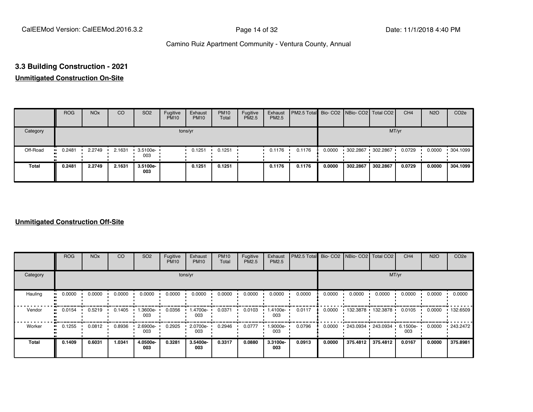### **3.3 Building Construction - 2021**

#### **Unmitigated Construction On-Site**

|              | <b>ROG</b>    | <b>NO<sub>x</sub></b> | CO     | SO <sub>2</sub> | Fugitive<br><b>PM10</b> | Exhaust<br><b>PM10</b> | <b>PM10</b><br>Total | Fugitive<br><b>PM2.5</b> | Exhaust<br>PM2.5 | <b>PM2.5 Total</b> Bio- CO2 NBio- CO2 Total CO2 |        |                   |          | CH <sub>4</sub> | <b>N2O</b> | CO <sub>2e</sub> |
|--------------|---------------|-----------------------|--------|-----------------|-------------------------|------------------------|----------------------|--------------------------|------------------|-------------------------------------------------|--------|-------------------|----------|-----------------|------------|------------------|
| Category     |               |                       |        |                 |                         | tons/yr                |                      |                          |                  |                                                 |        |                   | MT/yr    |                 |            |                  |
| Off-Road     | 0.2481<br>. . | 2.2749                | 2.1631 | 3.5100e-<br>003 |                         | 0.1251                 | 0.1251               |                          | 0.1176           | 0.1176                                          | 0.0000 | 302.2867 302.2867 |          | 0.0729          | 0.0000     | .304.1099        |
| <b>Total</b> | 0.2481        | 2.2749                | 2.1631 | 3.5100e-<br>003 |                         | 0.1251                 | 0.1251               |                          | 0.1176           | 0.1176                                          | 0.0000 | 302.2867          | 302.2867 | 0.0729          | 0.0000     | 304.1099         |

|                           | <b>ROG</b> | <b>NO<sub>x</sub></b> | CO     | SO <sub>2</sub> | Fugitive<br><b>PM10</b> | Exhaust<br><b>PM10</b> | <b>PM10</b><br>Total | Fugitive<br><b>PM2.5</b> | Exhaust<br>PM2.5 | PM2.5 Total | Bio-CO <sub>2</sub> | NBio- CO2   Total CO2 |            | CH <sub>4</sub>    | <b>N2O</b> | CO <sub>2e</sub> |
|---------------------------|------------|-----------------------|--------|-----------------|-------------------------|------------------------|----------------------|--------------------------|------------------|-------------|---------------------|-----------------------|------------|--------------------|------------|------------------|
| Category                  |            |                       |        |                 |                         | tons/yr                |                      |                          |                  |             |                     |                       | MT/yr      |                    |            |                  |
| Hauling<br>$\blacksquare$ | 0.0000     | 0.0000                | 0.0000 | 0.0000          | 0.0000                  | 0.0000                 | 0.0000               | 0.0000                   | 0.0000           | 0.0000      | 0.0000              | 0.0000                | 0.0000     | 0.0000             | 0.0000     | 0.0000           |
| Vendor<br>$\bullet$       | 0.0154     | 0.5219                | 0.1405 | -.3600e<br>003  | 0.0356                  | 1.4700e-<br>003        | 0.0371               | 0.0103                   | -4100e.<br>003   | 0.0117      | 0.0000              | 132.3878              | 132.3878   | 0.0105             | 0.0000     | $+132.6509$      |
| Worker<br>$\bullet$       | 0.1255     | 0.0812                | 0.8936 | 2.6900e-<br>003 | 0.2925                  | 2.0700e-<br>003        | 0.2946               | 0.0777                   | -9000e.<br>003   | 0.0796      | 0.0000              | 243.0934              | 243.0934 · | $6.1500e -$<br>003 | 0.0000     | 243.2472         |
| <b>Total</b>              | 0.1409     | 0.6031                | 1.0341 | 4.0500e-<br>003 | 0.3281                  | 3.5400e-<br>003        | 0.3317               | 0.0880                   | 3.3100e-<br>003  | 0.0913      | 0.0000              | 375.4812              | 375.4812   | 0.0167             | 0.0000     | 375,8981         |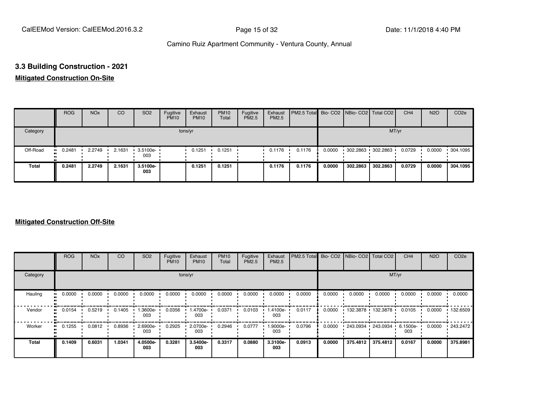#### **3.3 Building Construction - 2021**

#### **Mitigated Construction On-Site**

|              | <b>ROG</b>    | <b>NO<sub>x</sub></b> | <b>CO</b> | SO <sub>2</sub>         | Fugitive<br><b>PM10</b> | Exhaust<br><b>PM10</b> | <b>PM10</b><br>Total | Fugitive<br><b>PM2.5</b> | Exhaust<br>PM2.5 | <b>PM2.5 Total</b> Bio- CO2 NBio- CO2 Total CO2 |        |                     |          | CH <sub>4</sub> | <b>N2O</b> | CO <sub>2e</sub> |
|--------------|---------------|-----------------------|-----------|-------------------------|-------------------------|------------------------|----------------------|--------------------------|------------------|-------------------------------------------------|--------|---------------------|----------|-----------------|------------|------------------|
| Category     |               |                       |           |                         |                         | tons/yr                |                      |                          |                  |                                                 |        |                     | MT/yr    |                 |            |                  |
| Off-Road     | 0.2481<br>. . | 2.2749                | 2.1631    | $\cdot$ 3.5100e-<br>003 |                         | 0.1251                 | 0.1251               |                          | 0.1176           | 0.1176                                          | 0.0000 | $302.2863$ 302.2863 |          | 0.0729          | 0.0000     | .304.1095        |
| <b>Total</b> | 0.2481        | 2.2749                | 2.1631    | 3.5100e-<br>003         |                         | 0.1251                 | 0.1251               |                          | 0.1176           | 0.1176                                          | 0.0000 | 302.2863            | 302.2863 | 0.0729          | 0.0000     | 304.1095         |

|                      | <b>ROG</b> | <b>NO<sub>x</sub></b> | CO     | SO <sub>2</sub> | Fugitive<br><b>PM10</b> | Exhaust<br><b>PM10</b> | <b>PM10</b><br>Total | Fugitive<br>PM2.5 | Exhaust<br>PM2.5 | PM2.5 Total Bio- CO2 |        | NBio- CO2   Total CO2 |            | CH <sub>4</sub>    | <b>N2O</b> | CO <sub>2e</sub> |
|----------------------|------------|-----------------------|--------|-----------------|-------------------------|------------------------|----------------------|-------------------|------------------|----------------------|--------|-----------------------|------------|--------------------|------------|------------------|
| Category             |            |                       |        |                 |                         | tons/yr                |                      |                   |                  |                      |        |                       | MT/yr      |                    |            |                  |
| Hauling<br>$\bullet$ | 0.0000     | 0.0000                | 0.0000 | 0.0000          | 0.0000                  | 0.0000                 | 0.0000               | 0.0000            | 0.0000           | 0.0000               | 0.0000 | 0.0000                | 0.0000     | 0.0000             | 0.0000     | 0.0000           |
| Vendor<br>$\bullet$  | 0.0154     | 0.5219                | 0.1405 | -.3600e<br>003  | 0.0356                  | 1.4700e-<br>003        | 0.0371               | 0.0103            | -4100e.<br>003   | 0.0117               | 0.0000 | 132.3878              | 132.3878   | 0.0105             | 0.0000     | $+132.6509$      |
| Worker<br>$\bullet$  | 0.1255     | 0.0812                | 0.8936 | 2.6900e-<br>003 | 0.2925                  | 2.0700e-<br>003        | 0.2946               | 0.0777            | .9000e-<br>003   | 0.0796               | 0.0000 | 243.0934              | 243.0934 · | $6.1500e -$<br>003 | 0.0000     | .243.2472        |
| <b>Total</b>         | 0.1409     | 0.6031                | 1.0341 | 4.0500e-<br>003 | 0.3281                  | 3.5400e-<br>003        | 0.3317               | 0.0880            | 3.3100e-<br>003  | 0.0913               | 0.0000 | 375.4812              | 375.4812   | 0.0167             | 0.0000     | 375.8981         |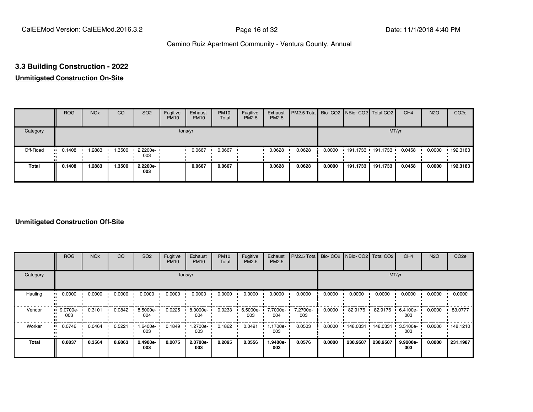# **3.3 Building Construction - 2022**

#### **Unmitigated Construction On-Site**

|          | <b>ROG</b> | <b>NO<sub>x</sub></b> | CO     | SO <sub>2</sub>         | Fugitive<br><b>PM10</b> | Exhaust<br><b>PM10</b> | <b>PM10</b><br>Total | Fugitive<br>PM2.5 | Exhaust<br>PM2.5 | PM2.5 Total Bio- CO2 NBio- CO2 Total CO2 |        |                     |          | CH <sub>4</sub> | <b>N2O</b> | CO <sub>2e</sub> |
|----------|------------|-----------------------|--------|-------------------------|-------------------------|------------------------|----------------------|-------------------|------------------|------------------------------------------|--------|---------------------|----------|-----------------|------------|------------------|
| Category |            |                       |        |                         |                         | tons/yr                |                      |                   |                  |                                          |        |                     | MT/yr    |                 |            |                  |
| Off-Road | 0.1408     | 1.2883                | 1.3500 | $\cdot$ 2.2200e-<br>003 |                         | 0.0667                 | 0.0667               |                   | 0.0628           | 0.0628                                   | 0.0000 | $191.1733$ 191.1733 |          | 0.0458          | 0.0000     | 192.3183         |
| Total    | 0.1408     | 1.2883                | 1.3500 | 2.2200e-<br>003         |                         | 0.0667                 | 0.0667               |                   | 0.0628           | 0.0628                                   | 0.0000 | 191.1733            | 191.1733 | 0.0458          | 0.0000     | 192.3183         |

|              | <b>ROG</b>                   | <b>NO<sub>x</sub></b> | CO     | SO <sub>2</sub> | Fugitive<br><b>PM10</b> | Exhaust<br><b>PM10</b> | <b>PM10</b><br>Total | Fugitive<br><b>PM2.5</b> | Exhaust<br>PM2.5 | PM2.5 Total     | Bio-CO <sub>2</sub> | NBio- CO2   Total CO2 |          | CH <sub>4</sub> | <b>N2O</b> | CO <sub>2e</sub> |
|--------------|------------------------------|-----------------------|--------|-----------------|-------------------------|------------------------|----------------------|--------------------------|------------------|-----------------|---------------------|-----------------------|----------|-----------------|------------|------------------|
| Category     |                              |                       |        |                 | tons/yr                 |                        |                      |                          |                  |                 |                     |                       | MT/yr    |                 |            |                  |
| Hauling      | 0.0000<br>$\blacksquare$     | 0.0000                | 0.0000 | 0.0000          | 0.0000                  | 0.0000                 | 0.0000               | 0.0000                   | 0.0000           | 0.0000          | 0.0000              | 0.0000                | 0.0000   | 0.0000          | 0.0000     | 0.0000           |
| Vendor       | 9.0700e-<br>$\bullet$<br>003 | 0.3101                | 0.0842 | 8.5000e-<br>004 | 0.0225                  | 8.0000e-<br>004        | 0.0233               | 6.5000e-<br>003          | 7.7000e-<br>004  | 7.2700e-<br>003 | 0.0000              | 82.9176               | 82.9176  | 6.4100e-<br>003 | 0.0000     | 83.0777          |
| Worker       | 0.0746<br>$\bullet$          | 0.0464                | 0.5221 | -6400e-<br>003  | 0.1849                  | 1.2700e-<br>003        | 0.1862               | 0.0491                   | 1.1700e-<br>003  | 0.0503          | 0.0000              | 148.0331              | 148.0331 | 3.5100e-<br>003 | 0.0000     | $+148.1210$      |
| <b>Total</b> | 0.0837                       | 0.3564                | 0.6063 | 2.4900e-<br>003 | 0.2075                  | 2.0700e-<br>003        | 0.2095               | 0.0556                   | 1.9400e-<br>003  | 0.0576          | 0.0000              | 230.9507              | 230.9507 | 9.9200e-<br>003 | 0.0000     | 231.1987         |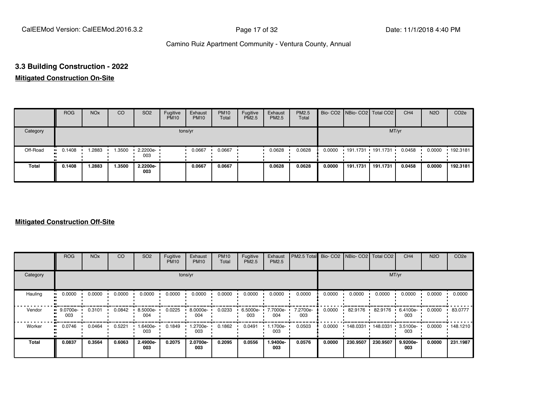#### **3.3 Building Construction - 2022**

#### **Mitigated Construction On-Site**

|          | <b>ROG</b>            | <b>NO<sub>x</sub></b> | <b>CO</b> | SO <sub>2</sub>         | Fugitive<br><b>PM10</b> | Exhaust<br><b>PM10</b> | <b>PM10</b><br>Total | Fugitive<br><b>PM2.5</b> | Exhaust<br>PM2.5 | <b>PM2.5</b><br>Total |        | Bio- CO2 NBio- CO2 Total CO2 |          | CH <sub>4</sub> | <b>N2O</b> | CO <sub>2e</sub> |
|----------|-----------------------|-----------------------|-----------|-------------------------|-------------------------|------------------------|----------------------|--------------------------|------------------|-----------------------|--------|------------------------------|----------|-----------------|------------|------------------|
| Category |                       |                       |           |                         |                         | tons/yr                |                      |                          |                  |                       |        |                              | MT/yr    |                 |            |                  |
| Off-Road | $\blacksquare$ 0.1408 | .2883                 | 1.3500    | $\cdot$ 2.2200e-<br>003 |                         | 0.0667                 | 0.0667               |                          | 0.0628           | 0.0628                | 0.0000 | $191.1731$ 191.1731          |          | 0.0458          | 0.0000     | .192.3181        |
| Total    | 0.1408                | 1.2883                | 1.3500    | 2.2200e-<br>003         |                         | 0.0667                 | 0.0667               |                          | 0.0628           | 0.0628                | 0.0000 | 191.1731                     | 191.1731 | 0.0458          | 0.0000     | 192.3181         |

|              | <b>ROG</b>      | <b>NO<sub>x</sub></b> | CO     | SO <sub>2</sub> | Fugitive<br><b>PM10</b> | Exhaust<br><b>PM10</b> | <b>PM10</b><br>Total | Fugitive<br><b>PM2.5</b> | Exhaust<br>PM2.5 | PM2.5 Total Bio- CO2 NBio- CO2 Total CO2 |        |          |          | CH <sub>4</sub> | <b>N2O</b> | CO <sub>2e</sub> |
|--------------|-----------------|-----------------------|--------|-----------------|-------------------------|------------------------|----------------------|--------------------------|------------------|------------------------------------------|--------|----------|----------|-----------------|------------|------------------|
| Category     |                 |                       |        |                 | tons/yr                 |                        |                      |                          |                  |                                          |        |          | MT/yr    |                 |            |                  |
| Hauling<br>œ | 0.0000          | 0.0000                | 0.0000 | 0.0000          | 0.0000                  | 0.0000                 | 0.0000               | 0.0000                   | 0.0000           | 0.0000                                   | 0.0000 | 0.0000   | 0.0000   | 0.0000          | 0.0000     | 0.0000           |
| Vendor<br>œ  | 9.0700e-<br>003 | 0.3101                | 0.0842 | 8.5000e-<br>004 | 0.0225                  | 8.0000e-<br>004        | 0.0233               | 6.5000e-<br>003          | 7.7000e-<br>004  | 7.2700e-<br>003                          | 0.0000 | 82.9176  | 82.9176  | 6.4100e-<br>003 | 0.0000     | 83.0777          |
| Worker<br>п. | 0.0746          | 0.0464                | 0.5221 | -6400e.<br>003  | 0.1849                  | 1.2700e-<br>003        | 0.1862               | 0.0491                   | 1.1700e-<br>003  | 0.0503                                   | 0.0000 | 148.0331 | 148.0331 | 3.5100e-<br>003 | 0.0000     | 148.1210         |
| <b>Total</b> | 0.0837          | 0.3564                | 0.6063 | 2.4900e-<br>003 | 0.2075                  | 2.0700e-<br>003        | 0.2095               | 0.0556                   | -9400e.<br>003   | 0.0576                                   | 0.0000 | 230.9507 | 230.9507 | 9.9200e-<br>003 | 0.0000     | 231.1987         |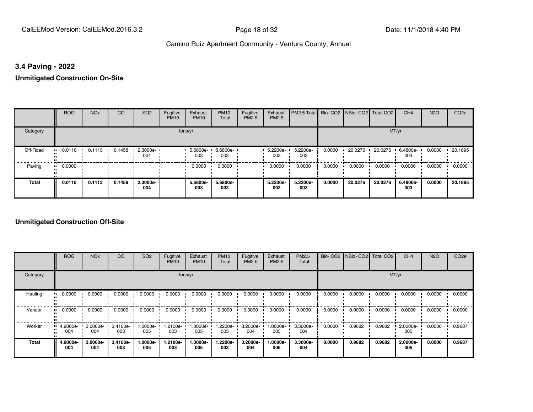#### **3.4 Paving - 2022**

#### **Unmitigated Construction On-Site**

|                     | <b>ROG</b> | <b>NO<sub>x</sub></b> | CO     | SO <sub>2</sub> | Fugitive<br><b>PM10</b> | Exhaust<br><b>PM10</b> | <b>PM10</b><br>Total | Fugitive<br><b>PM2.5</b> | Exhaust<br>PM2.5 | PM2.5 Total Bio- CO2 NBio- CO2   Total CO2 |        |         |         | CH <sub>4</sub> | <b>N2O</b> | CO <sub>2e</sub> |
|---------------------|------------|-----------------------|--------|-----------------|-------------------------|------------------------|----------------------|--------------------------|------------------|--------------------------------------------|--------|---------|---------|-----------------|------------|------------------|
| Category            |            |                       |        |                 |                         | tons/yr                |                      |                          |                  |                                            |        |         | MT/yr   |                 |            |                  |
| Off-Road            | 0.0110     | 0.1113                | 0.1458 | 2.3000e-<br>004 |                         | 5.6800e- ·<br>003      | 5.6800e-<br>003      |                          | 5.2200e-<br>003  | 5.2200e-<br>003                            | 0.0000 | 20.0276 | 20.0276 | 6.4800e-<br>003 | 0.0000     | 20.1895          |
| Paving<br>$\bullet$ | 0.0000     |                       |        |                 |                         | 0.0000                 | 0.0000               |                          | 0.0000           | 0.0000                                     | 0.0000 | 0.0000  | 0.0000  | 0.0000          | 0.0000     | 0.0000           |
| <b>Total</b>        | 0.0110     | 0.1113                | 0.1458 | 2.3000e-<br>004 |                         | 5.6800e-<br>003        | 5.6800e-<br>003      |                          | 5.2200e-<br>003  | 5.2200e-<br>003                            | 0.0000 | 20.0276 | 20.0276 | 6.4800e-<br>003 | 0.0000     | 20.1895          |

|          | <b>ROG</b>      | <b>NO<sub>x</sub></b> | CO              | SO <sub>2</sub> | Fugitive<br><b>PM10</b> | Exhaust<br><b>PM10</b> | <b>PM10</b><br>Total | Fugitive<br><b>PM2.5</b> | Exhaust<br>PM2.5 | <b>PM2.5</b><br>Total |        | Bio- CO2   NBio- CO2   Total CO2 |        | CH <sub>4</sub> | <b>N2O</b> | CO <sub>2e</sub> |
|----------|-----------------|-----------------------|-----------------|-----------------|-------------------------|------------------------|----------------------|--------------------------|------------------|-----------------------|--------|----------------------------------|--------|-----------------|------------|------------------|
| Category |                 |                       |                 |                 |                         | tons/yr                |                      |                          |                  |                       |        |                                  |        | MT/yr           |            |                  |
| Hauling  | 0.0000          | 0.0000                | 0.0000          | 0.0000          | 0.0000                  | 0.0000                 | 0.0000               | 0.0000                   | 0.0000           | 0.0000                | 0.0000 | 0.0000                           | 0.0000 | 0.0000          | 0.0000     | 0.0000           |
| Vendor   | 0.0000          | 0.0000                | 0.0000          | 0.0000          | 0.0000                  | 0.0000                 | 0.0000               | 0.0000                   | 0.0000           | 0.0000                | 0.0000 | 0.0000                           | 0.0000 | 0.0000          | 0.0000     | 0.0000           |
| Worker   | 4.9000e-<br>004 | 3.0000e-<br>004       | 3.4100e-<br>003 | -.0000e<br>005  | 1.2100e-<br>003         | 1.0000e-<br>005        | 1.2200e-<br>003      | 3.2000e-<br>004          | 1.0000e-<br>005  | 3.3000e-<br>004       | 0.0000 | 0.9682                           | 0.9682 | 2.0000e-<br>005 | 0.0000     | 0.9687           |
| Total    | 4.9000e-<br>004 | 3.0000e-<br>004       | 3.4100e-<br>003 | .0000e-<br>005  | 1.2100e-<br>003         | 1.0000e-<br>005        | 1.2200e-<br>003      | 3.2000e-<br>004          | 1.0000e-<br>005  | 3.3000e-<br>004       | 0.0000 | 0.9682                           | 0.9682 | 2.0000e-<br>005 | 0.0000     | 0.9687           |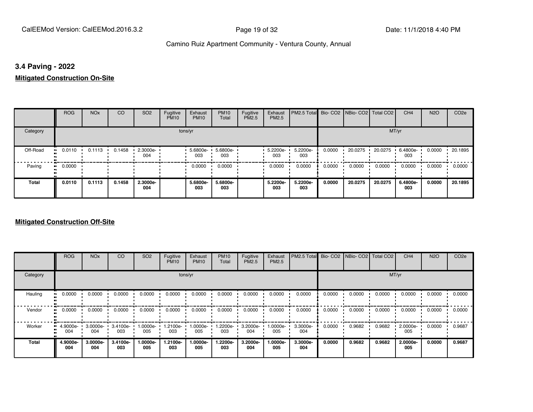#### **3.4 Paving - 2022**

#### **Mitigated Construction On-Site**

|          | <b>ROG</b>   | <b>NO<sub>x</sub></b> | CO     | SO <sub>2</sub> | Fugitive<br><b>PM10</b> | Exhaust<br><b>PM10</b> | <b>PM10</b><br>Total | Fugitive<br>PM2.5 | Exhaust<br>PM2.5 | PM2.5 Total     |        | Bio- CO2 NBio- CO2 Total CO2 |         | CH <sub>4</sub> | <b>N2O</b> | CO <sub>2e</sub> |
|----------|--------------|-----------------------|--------|-----------------|-------------------------|------------------------|----------------------|-------------------|------------------|-----------------|--------|------------------------------|---------|-----------------|------------|------------------|
| Category |              |                       |        |                 |                         | tons/yr                |                      |                   |                  |                 |        |                              | MT/yr   |                 |            |                  |
| Off-Road | 0.0110<br>ш. | 0.1113                | 0.1458 | 2.3000e-<br>004 |                         | 5.6800e-<br>003        | 5.6800e-<br>003      |                   | 5.2200e-<br>003  | 5.2200e-<br>003 | 0.0000 | 20.0275                      | 20.0275 | 6.4800e-<br>003 | 0.0000     | 20.1895          |
| Paving   | 0.0000<br>ш. |                       |        |                 |                         | 0.0000                 | 0.0000               |                   | 0.0000           | 0.0000          | 0.0000 | 0.0000                       | 0.0000  | 0.0000          | 0.0000     | 0.0000           |
| Total    | 0.0110       | 0.1113                | 0.1458 | 2.3000e-<br>004 |                         | 5.6800e-<br>003        | 5.6800e-<br>003      |                   | 5.2200e-<br>003  | 5.2200e-<br>003 | 0.0000 | 20.0275                      | 20.0275 | 6.4800e-<br>003 | 0.0000     | 20.1895          |

|              | <b>ROG</b>      | <b>NO<sub>x</sub></b> | CO              | SO <sub>2</sub>  | Fugitive<br><b>PM10</b> | Exhaust<br><b>PM10</b> | <b>PM10</b><br>Total | Fugitive<br><b>PM2.5</b> | Exhaust<br>PM2.5 | PM2.5 Total Bio- CO2 NBio- CO2 Total CO2 |        |        |        | CH <sub>4</sub> | <b>N2O</b> | CO <sub>2e</sub> |
|--------------|-----------------|-----------------------|-----------------|------------------|-------------------------|------------------------|----------------------|--------------------------|------------------|------------------------------------------|--------|--------|--------|-----------------|------------|------------------|
| Category     |                 |                       |                 |                  |                         | tons/yr                |                      |                          |                  |                                          |        |        |        | MT/yr           |            |                  |
| Hauling      | 0.0000          | 0.0000                | 0.0000          | 0.0000           | 0.0000                  | 0.0000                 | 0.0000               | 0.0000                   | 0.0000           | 0.0000                                   | 0.0000 | 0.0000 | 0.0000 | 0.0000          | 0.0000     | 0.0000           |
| Vendor       | 0.0000          | 0.0000                | 0.0000          | 0.0000           | 0.0000                  | 0.0000                 | 0.0000               | 0.0000                   | 0.0000           | 0.0000                                   | 0.0000 | 0.0000 | 0.0000 | 0.0000          | 0.0000     | 0.0000           |
| Worker       | 4.9000e-<br>004 | 3.0000e-<br>004       | 3.4100e-<br>003 | -0000e-<br>005   | 1.2100e-<br>003         | 1.0000e-<br>005        | -2200e-<br>003       | 3.2000e-<br>004          | -:0000e<br>005   | 3.3000e-<br>004                          | 0.0000 | 0.9682 | 0.9682 | 2.0000e-<br>005 | 0.0000     | 0.9687           |
| <b>Total</b> | 4.9000e-<br>004 | 3.0000e-<br>004       | 3.4100e-<br>003 | $.0000e-$<br>005 | 1.2100e-<br>003         | 1.0000e-<br>005        | 1.2200e-<br>003      | 3.2000e-<br>004          | 1.0000e-<br>005  | 3.3000e-<br>004                          | 0.0000 | 0.9682 | 0.9682 | 2.0000e-<br>005 | 0.0000     | 0.9687           |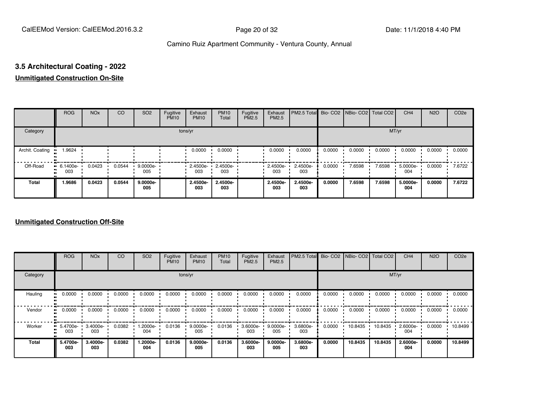# **3.5 Architectural Coating - 2022**

#### **Unmitigated Construction On-Site**

|                 | <b>ROG</b>                          | <b>NO<sub>x</sub></b> | CO     | SO <sub>2</sub> | Fugitive<br><b>PM10</b> | Exhaust<br><b>PM10</b> | <b>PM10</b><br>Total | Fugitive<br>PM2.5 | Exhaust<br>PM2.5 | PM2.5 Total Bio- CO2 NBio- CO2 Total CO2 |        |        |        | CH <sub>4</sub> | <b>N2O</b> | CO <sub>2e</sub> |
|-----------------|-------------------------------------|-----------------------|--------|-----------------|-------------------------|------------------------|----------------------|-------------------|------------------|------------------------------------------|--------|--------|--------|-----------------|------------|------------------|
| Category        |                                     |                       |        |                 | tons/yr                 |                        |                      |                   |                  |                                          |        |        | MT/yr  |                 |            |                  |
| Archit. Coating | 1.9624                              |                       |        |                 |                         | 0.0000                 | 0.0000               |                   | 0.0000           | 0.0000                                   | 0.0000 | 0.0000 | 0.0000 | 0.0000          | 0.0000     | 0.0000           |
| Off-Road        | $\blacksquare$ 6.1400e-<br>.<br>003 | 0.0423                | 0.0544 | 9.0000e-<br>005 |                         | $-2.4500e-$<br>003     | 2.4500e-<br>003      |                   | 2.4500e-<br>003  | 2.4500e-<br>003                          | 0.0000 | 7.6598 | 7.6598 | 5.0000e-<br>004 | 0.0000     | 7.6722           |
| <b>Total</b>    | 1.9686                              | 0.0423                | 0.0544 | 9.0000e-<br>005 |                         | 2.4500e-<br>003        | 2.4500e-<br>003      |                   | 2.4500e-<br>003  | 2.4500e-<br>003                          | 0.0000 | 7.6598 | 7.6598 | 5.0000e-<br>004 | 0.0000     | 7.6722           |

|          | <b>ROG</b>      | <b>NO<sub>x</sub></b> | CO     | SO <sub>2</sub> | Fugitive<br><b>PM10</b> | Exhaust<br><b>PM10</b> | <b>PM10</b><br>Total | Fugitive<br><b>PM2.5</b> | Exhaust<br>PM2.5 | PM2.5 Total Bio- CO2 NBio- CO2 Total CO2 |        |         |         | CH <sub>4</sub> | <b>N2O</b> | CO <sub>2e</sub> |
|----------|-----------------|-----------------------|--------|-----------------|-------------------------|------------------------|----------------------|--------------------------|------------------|------------------------------------------|--------|---------|---------|-----------------|------------|------------------|
| Category |                 |                       |        |                 |                         | tons/yr                |                      |                          |                  |                                          |        |         |         | MT/yr           |            |                  |
| Hauling  | 0.0000          | 0.0000                | 0.0000 | 0.0000          | 0.0000                  | 0.0000                 | 0.0000               | 0.0000                   | 0.0000           | 0.0000                                   | 0.0000 | 0.0000  | 0.0000  | 0.0000          | 0.0000     | 0.0000           |
| Vendor   | 0.0000          | 0.0000                | 0.0000 | 0.0000          | 0.0000                  | 0.0000                 | 0.0000               | 0.0000                   | 0.0000           | 0.0000                                   | 0.0000 | 0.0000  | 0.0000  | 0.0000          | 0.0000     | 0.0000           |
| Worker   | 5.4700e-<br>003 | 3.4000e-<br>003       | 0.0382 | -2000e.<br>004  | 0.0136                  | $9.0000e-$<br>005      | 0.0136               | 3.6000e-<br>003          | 9.0000e-<br>005  | 3.6800e-<br>003                          | 0.0000 | 10.8435 | 10.8435 | 2.6000e-<br>004 | 0.0000     | 10.8499          |
| Total    | 5.4700e-<br>003 | 3.4000e-<br>003       | 0.0382 | -2000e.<br>004  | 0.0136                  | $9.0000e-$<br>005      | 0.0136               | 3.6000e-<br>003          | 9.0000e-<br>005  | 3.6800e-<br>003                          | 0.0000 | 10.8435 | 10.8435 | 2.6000e-<br>004 | 0.0000     | 10.8499          |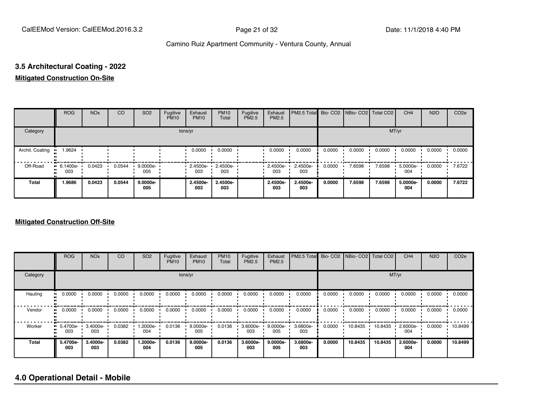#### **3.5 Architectural Coating - 2022**

#### **Mitigated Construction On-Site**

|                                  | <b>ROG</b>                     | <b>NO<sub>x</sub></b> | CO     | SO <sub>2</sub>   | Fugitive<br><b>PM10</b> | Exhaust<br><b>PM10</b> | <b>PM10</b><br>Total | Fugitive<br>PM2.5 | Exhaust<br>PM2.5 | PM2.5 Total     |        | Bio- CO2   NBio- CO2   Total CO2 |        | CH <sub>4</sub> | <b>N2O</b> | CO <sub>2e</sub> |
|----------------------------------|--------------------------------|-----------------------|--------|-------------------|-------------------------|------------------------|----------------------|-------------------|------------------|-----------------|--------|----------------------------------|--------|-----------------|------------|------------------|
| Category                         |                                |                       |        |                   | tons/yr                 |                        |                      |                   |                  |                 |        |                                  | MT/yr  |                 |            |                  |
| Archit. Coating<br>п             | 1.9624                         |                       |        |                   |                         | 0.0000                 | 0.0000               |                   | 0.0000           | 0.0000          | 0.0000 | 0.0000                           | 0.0000 | 0.0000          | 0.0000     | 0.0000           |
| Off-Road<br>п.<br>$\blacksquare$ | $\blacksquare$ 6.1400e-<br>003 | 0.0423                | 0.0544 | 9.0000e-<br>005   |                         | $-2.4500e-$<br>003     | 2.4500e-<br>003      |                   | 2.4500e-<br>003  | 2.4500e-<br>003 | 0.0000 | 7.6598                           | 7.6598 | 5.0000e-<br>004 | 0.0000     | 7.6722           |
| <b>Total</b>                     | 1.9686                         | 0.0423                | 0.0544 | $9.0000e-$<br>005 |                         | 2.4500e-<br>003        | 2.4500e-<br>003      |                   | 2.4500e-<br>003  | 2.4500e-<br>003 | 0.0000 | 7.6598                           | 7.6598 | 5.0000e-<br>004 | 0.0000     | 7.6722           |

#### **Mitigated Construction Off-Site**

|          | <b>ROG</b>         | <b>NO<sub>x</sub></b> | <b>CO</b> | SO <sub>2</sub>  | Fugitive<br><b>PM10</b> | Exhaust<br><b>PM10</b> | <b>PM10</b><br>Total | Fugitive<br><b>PM2.5</b> | Exhaust<br>PM2.5 | <b>PM2.5 Total</b> |        | Bio- CO2   NBio- CO2   Total CO2 |         | CH <sub>4</sub> | <b>N2O</b> | CO <sub>2e</sub> |
|----------|--------------------|-----------------------|-----------|------------------|-------------------------|------------------------|----------------------|--------------------------|------------------|--------------------|--------|----------------------------------|---------|-----------------|------------|------------------|
| Category |                    |                       |           |                  |                         | tons/yr                |                      |                          |                  | MT/yr              |        |                                  |         |                 |            |                  |
| Hauling  | 0.0000             | 0.0000                | 0.0000    | 0.0000           | 0.0000                  | 0.0000                 | 0.0000               | 0.0000                   | 0.0000           | 0.0000             | 0.0000 | 0.0000                           | 0.0000  | 0.0000          | 0.0000     | 0.0000           |
| Vendor   | 0.0000<br>         | 0.0000                | 0.0000    | 0.0000           | 0.0000                  | 0.0000                 | 0.0000               | 0.0000                   | 0.0000           | 0.0000             | 0.0000 | 0.0000                           | 0.0000  | 0.0000          | 0.0000     | 0.0000           |
| Worker   | $-5.4700e-$<br>003 | 3.4000e-<br>003       | 0.0382    | $.2000e-$<br>004 | 0.0136                  | $9.0000e -$<br>005     | 0.0136               | 3.6000e-<br>003          | 9.0000e-<br>005  | 3.6800e-<br>003    | 0.0000 | 10.8435                          | 10.8435 | 2.6000e-<br>004 | 0.0000     | 10.8499          |
| Total    | 5.4700e-<br>003    | 3.4000e-<br>003       | 0.0382    | 1.2000e-<br>004  | 0.0136                  | 9.0000e-<br>005        | 0.0136               | 3.6000e-<br>003          | 9.0000e-<br>005  | 3.6800e-<br>003    | 0.0000 | 10.8435                          | 10.8435 | 2.6000e-<br>004 | 0.0000     | 10.8499          |

#### **4.0 Operational Detail - Mobile**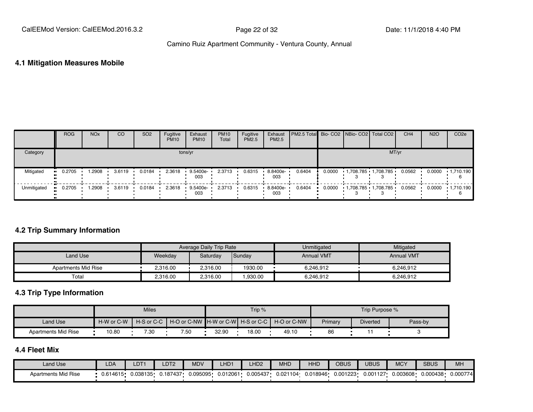#### **4.1 Mitigation Measures Mobile**

|             | <b>ROG</b>            | <b>NO<sub>x</sub></b> | CO     | SO <sub>2</sub> | Fugitive<br><b>PM10</b> | Exhaust<br><b>PM10</b> | <b>PM10</b><br>Total | Fugitive<br><b>PM2.5</b> | Exhaust<br>PM2.5 | PM2.5 Total Bio- CO2 NBio- CO2 Total CO2 |        |                         |       | CH <sub>4</sub> | <b>N2O</b> | CO <sub>2e</sub>  |
|-------------|-----------------------|-----------------------|--------|-----------------|-------------------------|------------------------|----------------------|--------------------------|------------------|------------------------------------------|--------|-------------------------|-------|-----------------|------------|-------------------|
| Category    |                       |                       |        |                 |                         | tons/yr                |                      |                          |                  |                                          |        |                         | MT/yr |                 |            |                   |
| Mitigated   | $\blacksquare$ 0.2705 | .2908                 | 3.6119 | 0.0184          | 2.3618                  | 9.5400e-<br>003        | 2.3713               | 0.6315                   | 8.8400e-<br>003  | 0.6404                                   | 0.0000 | $1,708.785$ $1,708.785$ |       | 0.0562          | 0.0000     | $\cdot$ 1,710.190 |
| Unmitigated | $\blacksquare$ 0.2705 | .2908                 | 3.6119 | 0.0184          | 2.3618                  | 9.5400e-<br>003        | 2.3713               | 0.6315                   | 8.8400e-<br>003  | 0.6404                                   | 0.0000 | 1,708.785 1,708.785     |       | 0.0562          | 0.0000     | $\cdot$ 1,710.190 |

#### **4.2 Trip Summary Information**

|                     |          | Average Daily Trip Rate |         | Unmitigated       | Mitigated         |
|---------------------|----------|-------------------------|---------|-------------------|-------------------|
| Land Use            | Weekday  | Saturday                | Sunday  | <b>Annual VMT</b> | <b>Annual VMT</b> |
| Apartments Mid Rise | 2,316.00 | 2.316.00                | 1930.00 | 6.246.912         | 6.246.912         |
| Total               | 2.316.00 | 2.316.00                | .930.00 | 6.246.912         | 6.246.912         |

#### **4.3 Trip Type Information**

|                     |            | <b>Miles</b> |                                                           |       | Trip $%$ |       |         | Trip Purpose %  |         |
|---------------------|------------|--------------|-----------------------------------------------------------|-------|----------|-------|---------|-----------------|---------|
| Land Use            | H-W or C-W |              | H-S or C-C H-O or C-NW H-W or C-WI H-S or C-C H-O or C-NW |       |          |       | Primary | <b>Diverted</b> | Pass-by |
| Apartments Mid Rise | 10.80      | 7.30         | 7.50                                                      | 32.90 | 18.00    | 49.10 | 86      |                 |         |

#### **4.4 Fleet Mix**

| Land Use            | <b>LDA</b>   | LDT*     | LDT <sub>2</sub> | <b>MDV</b> | -HD <sub>1</sub> | LHD <sub>2</sub> | MHD      | <b>HHD</b> | <b>OBUS</b> | UBUS     | <b>MCY</b> | <b>SBUS</b> | MH                    |
|---------------------|--------------|----------|------------------|------------|------------------|------------------|----------|------------|-------------|----------|------------|-------------|-----------------------|
| Apartments Mid Rise | $J.614615 -$ | 0.038135 | 0.187437         | 0.095095   | 0.012061         | 0.005437         | 0.021104 | 0.018946   | 0.001223    | 0.001127 | 0.003608   | 0.000438    | $0.00077$ $^{\prime}$ |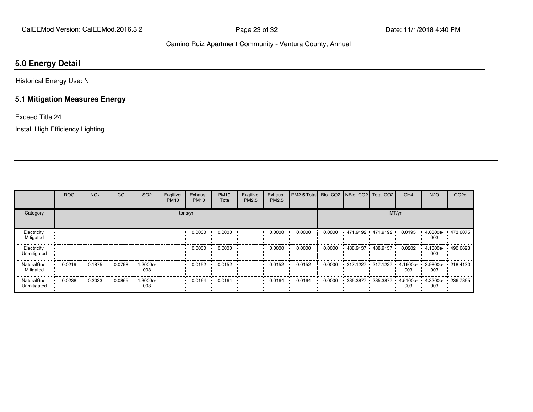#### **5.0 Energy Detail**

Historical Energy Use: N

#### **5.1 Mitigation Measures Energy**

Exceed Title 24

Install High Efficiency Lighting

|                                  | <b>ROG</b> | <b>NO<sub>x</sub></b> | CO     | SO <sub>2</sub> | Fugitive<br><b>PM10</b> | Exhaust<br><b>PM10</b> | <b>PM10</b><br>Total | Fugitive<br>PM2.5 | Exhaust<br><b>PM2.5</b> | PM2.5 Total Bio- CO2 NBio- CO2 Total CO2 |        |                        |                            | CH <sub>4</sub>    | <b>N2O</b>      | CO <sub>2e</sub>  |
|----------------------------------|------------|-----------------------|--------|-----------------|-------------------------|------------------------|----------------------|-------------------|-------------------------|------------------------------------------|--------|------------------------|----------------------------|--------------------|-----------------|-------------------|
| Category                         |            |                       |        |                 |                         | tons/yr                |                      |                   |                         |                                          |        |                        | MT/yr                      |                    |                 |                   |
| Electricity<br>Mitigated         |            |                       |        |                 |                         | 0.0000                 | 0.0000               |                   | 0.0000                  | 0.0000                                   | 0.0000 |                        | $.471.9192 \cdot 471.9192$ | 0.0195             | 4.0300e-<br>003 | ■ 473.6075        |
| Electricity<br>Unmitigated       |            |                       |        |                 |                         | 0.0000                 | 0.0000               |                   | 0.0000                  | 0.0000                                   | 0.0000 |                        | $488.9137 + 488.9137$      | 0.0202             | 4.1800e-<br>003 | 490.6628          |
| NaturalGas<br>Mitigated          | 0.0219     | 0.1875                | 0.0798 | --2000e.<br>003 |                         | 0.0152                 | 0.0152               |                   | 0.0152                  | 0.0152                                   | 0.0000 | $-217.1227 - 217.1227$ |                            | $4.1600e -$<br>003 | 003             | 3.9800e- 218.4130 |
| <b>NaturalGas</b><br>Unmitigated | 0.0238     | 0.2033                | 0.0865 | 1.3000e-<br>003 |                         | 0.0164                 | 0.0164               |                   | 0.0164                  | 0.0164                                   | 0.0000 | 235.3877 235.3877      |                            | 4.5100e-<br>003    | 4.3200e-<br>003 | $+236.7865$       |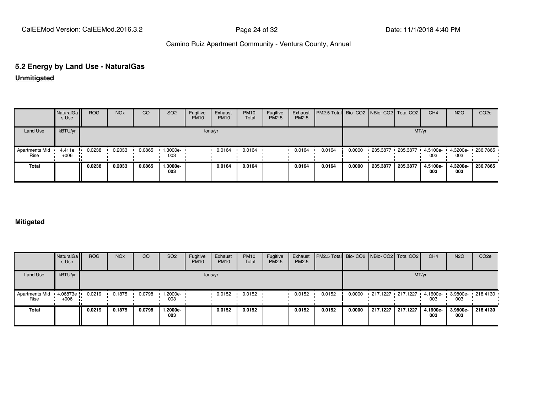# **5.2 Energy by Land Use - NaturalGas**

**Unmitigated**

|                               | NaturalGa<br>s Use | <b>ROG</b> | <b>NO<sub>x</sub></b> | CO     | SO <sub>2</sub> | Fugitive<br><b>PM10</b> | Exhaust<br><b>PM10</b> | <b>PM10</b><br>Total | Fugitive<br>PM2.5 | Exhaust<br>PM2.5 | PM2.5 Total Bio- CO2 NBio- CO2 Total CO2 |        |                   |          | CH <sub>4</sub> | <b>N2O</b>      | CO <sub>2e</sub>    |
|-------------------------------|--------------------|------------|-----------------------|--------|-----------------|-------------------------|------------------------|----------------------|-------------------|------------------|------------------------------------------|--------|-------------------|----------|-----------------|-----------------|---------------------|
| Land Use                      | kBTU/yr            |            |                       |        |                 |                         | tons/yr                |                      |                   |                  |                                          |        |                   | MT/yr    |                 |                 |                     |
| <b>Apartments Mid</b><br>Rise | 4.411e<br>$+006$   | 0.0238     | 0.2033                | 0.0865 | 1.3000e-<br>003 |                         | 0.0164                 | 0.0164               |                   | 0.0164           | 0.0164                                   | 0.0000 | 235.3877 235.3877 |          | 4.5100e-<br>003 | 003             | 4.3200e- 1 236.7865 |
| Total                         |                    | 0.0238     | 0.2033                | 0.0865 | 1.3000e-<br>003 |                         | 0.0164                 | 0.0164               |                   | 0.0164           | 0.0164                                   | 0.0000 | 235,387           | 235.3877 | 4.5100e-<br>003 | 4.3200e-<br>003 | 236.7865            |

#### **Mitigated**

|                               | NaturalGa<br>s Use      | <b>ROG</b> | <b>NO<sub>x</sub></b> | CO     | SO <sub>2</sub> | Fugitive<br><b>PM10</b> | Exhaust<br><b>PM10</b> | <b>PM10</b><br>Total | Fugitive<br><b>PM2.5</b> | Exhaust<br>PM2.5 | PM2.5 Total Bio- CO2 NBio- CO2   Total CO2 |        |                                              |          | CH <sub>4</sub> | <b>N2O</b>      | CO <sub>2</sub> e |
|-------------------------------|-------------------------|------------|-----------------------|--------|-----------------|-------------------------|------------------------|----------------------|--------------------------|------------------|--------------------------------------------|--------|----------------------------------------------|----------|-----------------|-----------------|-------------------|
| <b>Land Use</b>               | kBTU/yr                 |            |                       |        |                 |                         | tons/yr                |                      |                          |                  |                                            |        |                                              | MT/yr    |                 |                 |                   |
| <b>Apartments Mid</b><br>Rise | $-4.06873e -$<br>$+006$ | 0.0219     | 0.1875                | 0.0798 | 1.2000e-<br>003 |                         | 0.0152                 | 0.0152               |                          | 0.0152           | 0.0152                                     | 0.0000 | 217.1227 217.1227 4.1600e- 3.9800e- 218.4130 |          | 003             | 003             |                   |
| Total                         |                         | 0.0219     | 0.1875                | 0.0798 | 1.2000e-<br>003 |                         | 0.0152                 | 0.0152               |                          | 0.0152           | 0.0152                                     | 0.0000 | 217.1227                                     | 217.1227 | 4.1600e-<br>003 | 3.9800e-<br>003 | 218,4130          |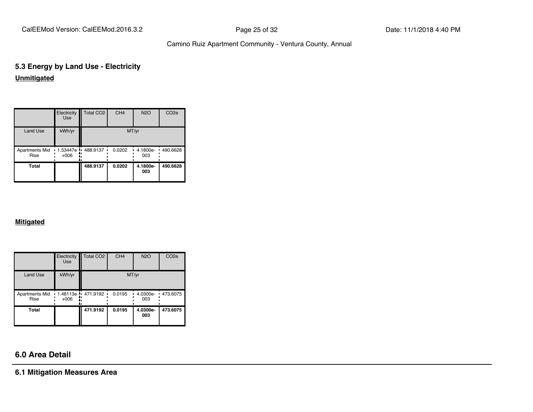CalEEMod Version: CalEEMod.2016.3.2 **Page 25 of 32** Page 25 of 32 Date: 11/1/2018 4:40 PM

#### Camino Ruiz Apartment Community - Ventura County, Annual

#### **5.3 Energy by Land Use - Electricity Unmitigated**

|                               | Electricity<br><b>Use</b>  | Total CO <sub>2</sub> | CH <sub>4</sub> | <b>N2O</b>      | CO <sub>2e</sub> |
|-------------------------------|----------------------------|-----------------------|-----------------|-----------------|------------------|
| <b>Land Use</b>               | kWh/yr                     |                       |                 | MT/yr           |                  |
| <b>Apartments Mid</b><br>Rise | 1.53447e ·<br>$+006$<br>٠. | 488.9137              | 0.0202          | 4.1800e-<br>003 | 490.6628<br>٠    |
| Total                         |                            | 488.9137              | 0.0202          | 4.1800e-<br>003 | 490.6628         |

#### **Mitigated**

|                               | Electricity<br><b>Use</b>       | <b>Total CO2</b> | CH <sub>4</sub> | <b>N2O</b>      | CO <sub>2e</sub> |
|-------------------------------|---------------------------------|------------------|-----------------|-----------------|------------------|
| <b>Land Use</b>               | kWh/yr                          |                  |                 | MT/yr           |                  |
| <b>Apartments Mid</b><br>Rise | $1.48113e + 471.9192$<br>$+006$ | ۰.<br>۰.         | 0.0195          | 4.0300e-<br>003 | 473.6075<br>٠    |
| Total                         |                                 | 471.9192         | 0.0195          | 4.0300e-<br>003 | 473.6075         |

### **6.0 Area Detail**

**6.1 Mitigation Measures Area**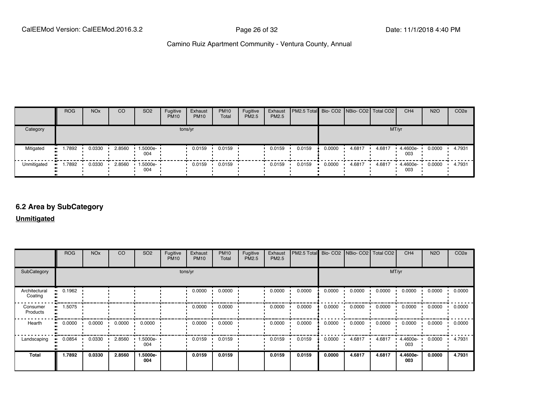|             | <b>ROG</b>   | <b>NO<sub>x</sub></b> | <sub>CO</sub> | SO <sub>2</sub> | Fugitive<br><b>PM10</b> | Exhaust<br><b>PM10</b> | <b>PM10</b><br>Total | Fugitive<br>PM2.5 | Exhaust<br>PM2.5 | <b>PM2.5 Total</b> Bio- CO2 NBio- CO2   Total CO2 |        |        |        | CH <sub>4</sub> | <b>N2O</b> | CO <sub>2</sub> e |
|-------------|--------------|-----------------------|---------------|-----------------|-------------------------|------------------------|----------------------|-------------------|------------------|---------------------------------------------------|--------|--------|--------|-----------------|------------|-------------------|
| Category    |              |                       |               |                 | tons/yr                 |                        |                      |                   |                  |                                                   |        |        | MT/yr  |                 |            |                   |
| Mitigated   | 1.7892<br>   | 0.0330                | 2.8560        | 1.5000e-<br>004 |                         | 0.0159                 | 0.0159               |                   | 0.0159           | 0.0159                                            | 0.0000 | 4.6817 | 4.6817 | 4.4600e-<br>003 | 0.0000     | 4.7931            |
| Unmitigated | 1.7892<br>ш. | 0.0330                | 2.8560        | 1.5000e-<br>004 |                         | 0.0159                 | 0.0159               |                   | 0.0159           | 0.0159                                            | 0.0000 | 4.6817 | 4.6817 | 4.4600e-<br>003 | 0.0000     | 4.7931            |

#### **6.2 Area by SubCategory**

**Unmitigated**

|                          | <b>ROG</b> | <b>NO<sub>x</sub></b> | <b>CO</b> | SO <sub>2</sub> | Fugitive<br><b>PM10</b> | Exhaust<br><b>PM10</b> | <b>PM10</b><br>Total | Fugitive<br>PM2.5 | Exhaust<br>PM2.5 | PM2.5 Total Bio- CO2 NBio- CO2 Total CO2 |        |        |        | CH <sub>4</sub>    | <b>N2O</b> | CO <sub>2e</sub> |
|--------------------------|------------|-----------------------|-----------|-----------------|-------------------------|------------------------|----------------------|-------------------|------------------|------------------------------------------|--------|--------|--------|--------------------|------------|------------------|
| SubCategory              |            | tons/yr               |           |                 |                         |                        |                      | MT/yr             |                  |                                          |        |        |        |                    |            |                  |
| Architectural<br>Coating | 0.1962<br> |                       |           |                 |                         | 0.0000                 | 0.0000               |                   | 0.0000           | 0.0000                                   | 0.0000 | 0.0000 | 0.0000 | 0.0000             | 0.0000     | 0.0000           |
| Consumer<br>Products     | 1.5075     |                       |           |                 |                         | 0.0000                 | 0.0000               |                   | 0.0000           | 0.0000                                   | 0.0000 | 0.0000 | 0.0000 | 0.0000             | 0.0000     | 0.0000           |
| Hearth<br>ш.             | 0.0000     | 0.0000                | 0.0000    | 0.0000          |                         | 0.0000                 | 0.0000               |                   | 0.0000           | 0.0000                                   | 0.0000 | 0.0000 | 0.0000 | 0.0000             | 0.0000     | 0.0000           |
| Landscaping              | 0.0854     | 0.0330                | 2.8560    | 1.5000e-<br>004 |                         | 0.0159                 | 0.0159               |                   | 0.0159           | 0.0159                                   | 0.0000 | 4.6817 | 4.6817 | $4.4600e -$<br>003 | 0.0000     | 4.7931           |
| <b>Total</b>             | 1.7892     | 0.0330                | 2.8560    | 1.5000e-<br>004 |                         | 0.0159                 | 0.0159               |                   | 0.0159           | 0.0159                                   | 0.0000 | 4.6817 | 4.6817 | 4.4600e-<br>003    | 0.0000     | 4.7931           |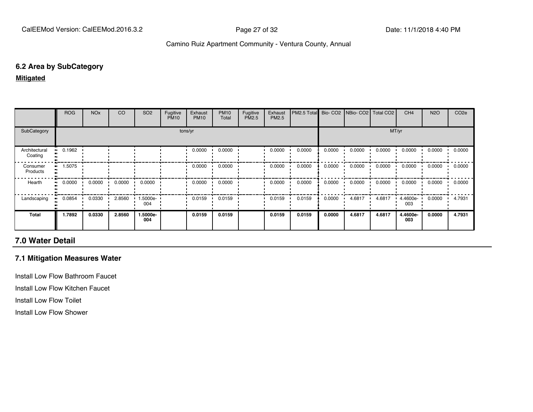#### **6.2 Area by SubCategory**

**Mitigated**

|                          | <b>ROG</b> | <b>NO<sub>x</sub></b> | CO     | SO <sub>2</sub> | Fugitive<br><b>PM10</b> | Exhaust<br><b>PM10</b> | <b>PM10</b><br>Total | Fugitive<br>PM2.5 | Exhaust<br>PM2.5 | PM2.5 Total |        | Bio- CO2   NBio- CO2   Total CO2 |        | CH <sub>4</sub> | <b>N2O</b> | CO <sub>2</sub> e |
|--------------------------|------------|-----------------------|--------|-----------------|-------------------------|------------------------|----------------------|-------------------|------------------|-------------|--------|----------------------------------|--------|-----------------|------------|-------------------|
| SubCategory              |            | tons/yr               |        |                 |                         |                        |                      | MT/yr             |                  |             |        |                                  |        |                 |            |                   |
| Architectural<br>Coating | 0.1962     |                       |        |                 |                         | 0.0000                 | 0.0000               |                   | 0.0000           | 0.0000      | 0.0000 | 0.0000                           | 0.0000 | 0.0000          | 0.0000     | 0.0000            |
| Consumer<br>Products     | 1.5075     |                       |        |                 |                         | 0.0000                 | 0.0000               |                   | 0.0000           | 0.0000      | 0.0000 | 0.0000                           | 0.0000 | 0.0000          | 0.0000     | 0.0000            |
| Hearth                   | 0.0000     | 0.0000                | 0.0000 | 0.0000          |                         | 0.0000                 | 0.0000               |                   | 0.0000           | 0.0000      | 0.0000 | 0.0000                           | 0.0000 | 0.0000          | 0.0000     | 0.0000            |
| Landscaping              | 0.0854     | 0.0330                | 2.8560 | 1.5000e-<br>004 |                         | 0.0159                 | 0.0159               |                   | 0.0159           | 0.0159      | 0.0000 | 4.6817                           | 4.6817 | 4.4600e-<br>003 | 0.0000     | 4.7931            |
| Total                    | 1.7892     | 0.0330                | 2.8560 | 1.5000e-<br>004 |                         | 0.0159                 | 0.0159               |                   | 0.0159           | 0.0159      | 0.0000 | 4.6817                           | 4.6817 | 4.4600e-<br>003 | 0.0000     | 4.7931            |

#### **7.0 Water Detail**

#### **7.1 Mitigation Measures Water**

Install Low Flow Bathroom Faucet

Install Low Flow Kitchen Faucet

Install Low Flow Toilet

Install Low Flow Shower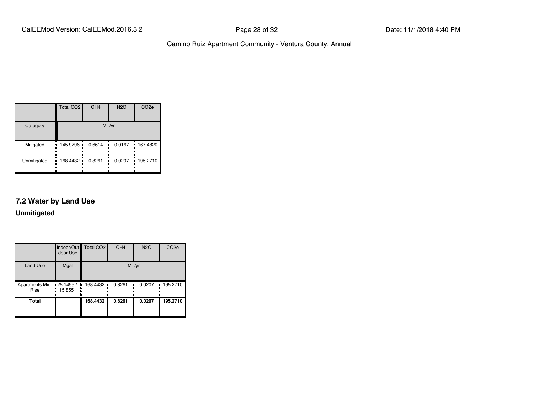|             | Total CO <sub>2</sub>        | CH <sub>4</sub> | <b>N2O</b> | CO <sub>2e</sub> |  |  |
|-------------|------------------------------|-----------------|------------|------------------|--|--|
| Category    | MT/yr                        |                 |            |                  |  |  |
| Mitigated   | 145.9796<br><br><br><br>┅    | 0.6614          | 0.0167     | 167.4820         |  |  |
| Unmitigated | 168.4432 ·<br>ш.<br><br><br> | 0.8261          | 0.0207     | 195.2710         |  |  |

#### **7.2 Water by Land Use**

**Unmitigated**

|                                               | door Use | Indoor/Out Total CO2 | CH <sub>4</sub> | <b>N2O</b> | CO <sub>2e</sub> |
|-----------------------------------------------|----------|----------------------|-----------------|------------|------------------|
| <b>Land Use</b>                               | Mgal     |                      |                 | MT/yr      |                  |
| Apartments Mid . 25.1495 / 168.4432 .<br>Rise | 15.8551  |                      | 0.8261          | 0.0207     | .195.2710        |
| <b>Total</b>                                  |          | 168.4432             | 0.8261          | 0.0207     | 195.2710         |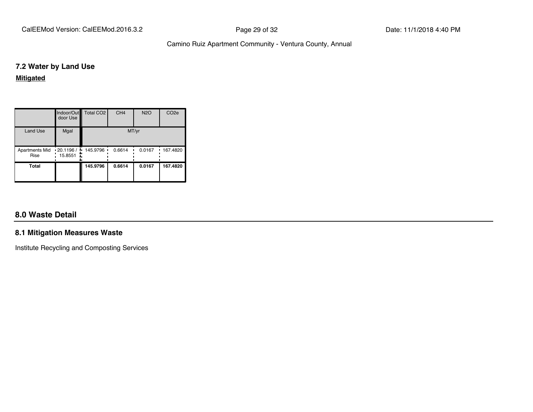CalEEMod Version: CalEEMod.2016.3.2 **Page 29 of 32** Page 29 of 32 Date: 11/1/2018 4:40 PM

#### Camino Ruiz Apartment Community - Ventura County, Annual

#### **7.2 Water by Land Use**

#### **Mitigated**

|                               | door Use                       | Indoor/Out   Total CO2 | CH <sub>4</sub> | <b>N2O</b> | CO <sub>2e</sub> |
|-------------------------------|--------------------------------|------------------------|-----------------|------------|------------------|
| <b>Land Use</b>               | Mgal                           |                        | MT/yr           |            |                  |
| <b>Apartments Mid</b><br>Rise | 120.1196 / 145.9796<br>15.8551 | ٠                      | 0.6614          | 0.0167     | 167.4820<br>٠    |
| <b>Total</b>                  |                                | 145.9796               | 0.6614          | 0.0167     | 167.4820         |

#### **8.0 Waste Detail**

#### **8.1 Mitigation Measures Waste**

Institute Recycling and Composting Services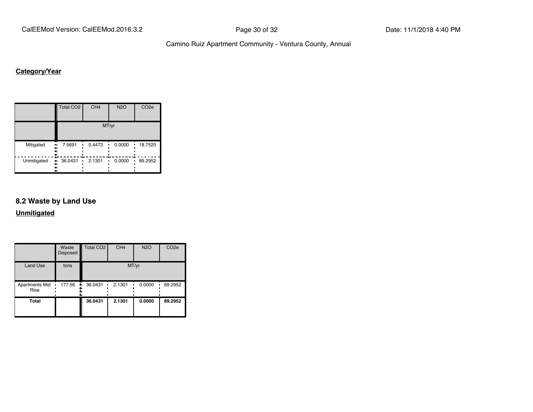CalEEMod Version: CalEEMod.2016.3.2 **Page 30 of 32** Page 30 of 32 Date: 11/1/2018 4:40 PM

Camino Ruiz Apartment Community - Ventura County, Annual

#### **Category/Year**

|                         | Total CO <sub>2</sub> | CH <sub>4</sub> | <b>N2O</b> | CO <sub>2e</sub> |  |  |  |  |
|-------------------------|-----------------------|-----------------|------------|------------------|--|--|--|--|
|                         | MT/yr                 |                 |            |                  |  |  |  |  |
| Mitigated<br>.,<br><br> | 7.5691<br>            | 0.4473          | 0.0000     | 18.7520          |  |  |  |  |
| Unmitigated<br><br>     | 36.0431<br>ш,<br>.,   | 2.1301          | 0.0000     | 89.2952          |  |  |  |  |

#### **8.2 Waste by Land Use**

**Unmitigated**

|                               | Waste<br><b>Disposed</b> | Total CO <sub>2</sub> | CH <sub>4</sub> | <b>N2O</b> | CO <sub>2e</sub> |
|-------------------------------|--------------------------|-----------------------|-----------------|------------|------------------|
| <b>Land Use</b>               | tons                     |                       | MT/yr           |            |                  |
| <b>Apartments Mid</b><br>Rise | 177.56                   | 36.0431<br>۰.         | 2.1301          | 0.0000     | 89.2952          |
| <b>Total</b>                  |                          | 36.0431               | 2.1301          | 0.0000     | 89.2952          |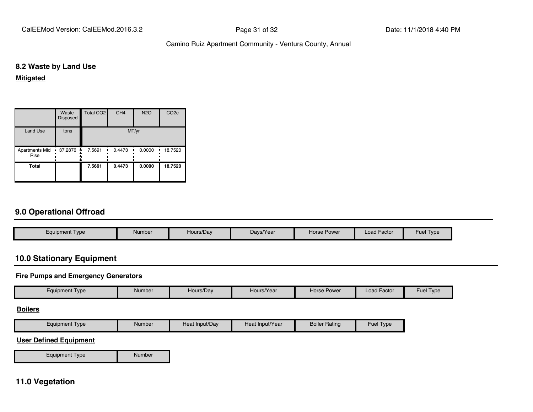CalEEMod Version: CalEEMod.2016.3.2 **Page 31 of 32** Page 31 of 32 Date: 11/1/2018 4:40 PM

#### Camino Ruiz Apartment Community - Ventura County, Annual

#### **8.2 Waste by Land Use**

**Mitigated**

|                        | Waste<br>Disposed | Total CO <sub>2</sub> | CH <sub>4</sub> | <b>N2O</b> | CO <sub>2e</sub> |
|------------------------|-------------------|-----------------------|-----------------|------------|------------------|
| <b>Land Use</b>        | tons              |                       | MT/yr           |            |                  |
| Apartments Mid<br>Rise | 37.2876           | 7.5691<br>ш.          | 0.4473          | 0.0000     | 18.7520          |
| Total                  |                   | 7.5691                | 0.4473          | 0.0000     | 18.7520          |

#### **9.0 Operational Offroad**

| <b>Equipment Type</b> | Number | Hours/Day | Days/Year | Horse Power | <b>Load Factor</b> | Type<br>Fuel |
|-----------------------|--------|-----------|-----------|-------------|--------------------|--------------|

#### **10.0 Stationary Equipment**

#### **Fire Pumps and Emergency Generators**

| Equipment Type | Number | Hours/Day | Hours/Year | Horse Power | . .<br>l Factor<br>∟oad | Fuel<br>Type |
|----------------|--------|-----------|------------|-------------|-------------------------|--------------|
|                |        |           |            |             |                         |              |

#### **Boilers**

| Equipment<br><b>Type</b> | Number | Heat Input/Day | Heat Input/Year | <b>Boiler Rating</b> | Fuel<br>Type |
|--------------------------|--------|----------------|-----------------|----------------------|--------------|
|                          |        |                |                 |                      |              |

#### **User Defined Equipment**

Equipment Type Number

#### **11.0 Vegetation**